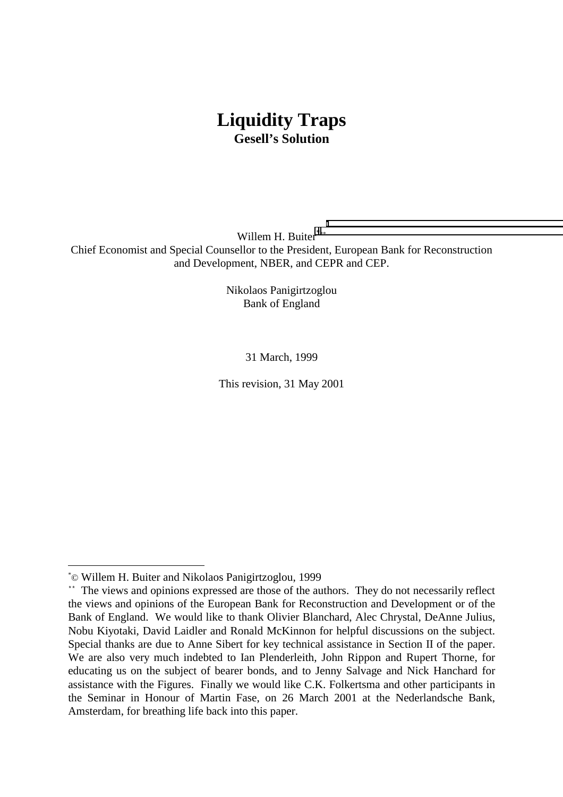# **Liquidity Traps Gesell's Solution**

Willem H. Buiter\*\*\* Chief Economist and Special Counsellor to the President, European Bank for Reconstruction and Development, NBER, and CEPR and CEP.

> Nikolaos Panigirtzoglou Bank of England

> > 31 March, 1999

This revision, 31 May 2001

<sup>\*</sup> © Willem H. Buiter and Nikolaos Panigirtzoglou, 1999

<sup>\*\*</sup> The views and opinions expressed are those of the authors. They do not necessarily reflect the views and opinions of the European Bank for Reconstruction and Development or of the Bank of England. We would like to thank Olivier Blanchard, Alec Chrystal, DeAnne Julius, Nobu Kiyotaki, David Laidler and Ronald McKinnon for helpful discussions on the subject. Special thanks are due to Anne Sibert for key technical assistance in Section II of the paper. We are also very much indebted to Ian Plenderleith, John Rippon and Rupert Thorne, for educating us on the subject of bearer bonds, and to Jenny Salvage and Nick Hanchard for assistance with the Figures. Finally we would like C.K. Folkertsma and other participants in the Seminar in Honour of Martin Fase, on 26 March 2001 at the Nederlandsche Bank, Amsterdam, for breathing life back into this paper.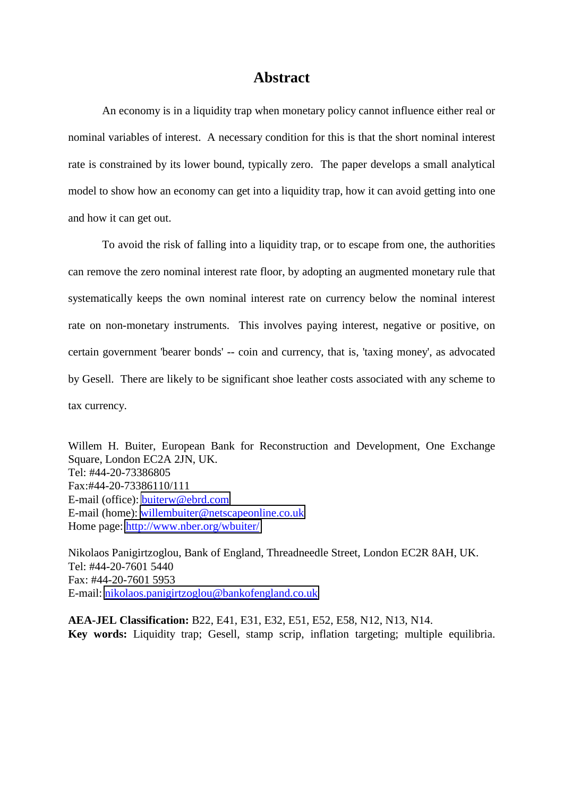### **Abstract**

An economy is in a liquidity trap when monetary policy cannot influence either real or nominal variables of interest. A necessary condition for this is that the short nominal interest rate is constrained by its lower bound, typically zero. The paper develops a small analytical model to show how an economy can get into a liquidity trap, how it can avoid getting into one and how it can get out.

To avoid the risk of falling into a liquidity trap, or to escape from one, the authorities can remove the zero nominal interest rate floor, by adopting an augmented monetary rule that systematically keeps the own nominal interest rate on currency below the nominal interest rate on non-monetary instruments. This involves paying interest, negative or positive, on certain government 'bearer bonds' -- coin and currency, that is, 'taxing money', as advocated by Gesell. There are likely to be significant shoe leather costs associated with any scheme to tax currency.

Willem H. Buiter, European Bank for Reconstruction and Development, One Exchange Square, London EC2A 2JN, UK. Tel: #44-20-73386805 Fax:#44-20-73386110/111 E-mail (office): [buiterw@ebrd.com](mailto:buiterw@ebrd.com) E-mail (home): [willembuiter@netscapeonline.co.uk](mailto:willembuiter@netscapeonline.co.uk) Home page: [http://www.nber.org/wbuiter/](http://www.nber.org/~wbuiter/)

Nikolaos Panigirtzoglou, Bank of England, Threadneedle Street, London EC2R 8AH, UK. Tel: #44-20-7601 5440 Fax: #44-20-7601 5953 E-mail: [nikolaos.panigirtzoglou@bankofengland.co.uk](mailto:nikolaos.panigirtzoglou@bankofengland.co.uk)

**AEA-JEL Classification:** B22, E41, E31, E32, E51, E52, E58, N12, N13, N14. **Key words:** Liquidity trap; Gesell, stamp scrip, inflation targeting; multiple equilibria.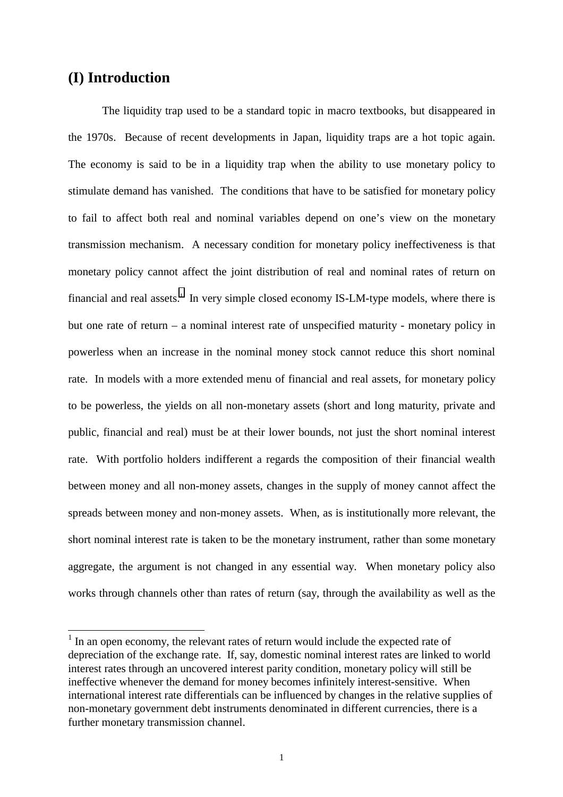## **(I) Introduction**

 $\overline{a}$ 

The liquidity trap used to be a standard topic in macro textbooks, but disappeared in the 1970s. Because of recent developments in Japan, liquidity traps are a hot topic again. The economy is said to be in a liquidity trap when the ability to use monetary policy to stimulate demand has vanished. The conditions that have to be satisfied for monetary policy to fail to affect both real and nominal variables depend on one's view on the monetary transmission mechanism. A necessary condition for monetary policy ineffectiveness is that monetary policy cannot affect the joint distribution of real and nominal rates of return on financial and real assets.<sup>1</sup> In very simple closed economy IS-LM-type models, where there is but one rate of return – a nominal interest rate of unspecified maturity - monetary policy in powerless when an increase in the nominal money stock cannot reduce this short nominal rate. In models with a more extended menu of financial and real assets, for monetary policy to be powerless, the yields on all non-monetary assets (short and long maturity, private and public, financial and real) must be at their lower bounds, not just the short nominal interest rate. With portfolio holders indifferent a regards the composition of their financial wealth between money and all non-money assets, changes in the supply of money cannot affect the spreads between money and non-money assets. When, as is institutionally more relevant, the short nominal interest rate is taken to be the monetary instrument, rather than some monetary aggregate, the argument is not changed in any essential way. When monetary policy also works through channels other than rates of return (say, through the availability as well as the

<sup>&</sup>lt;sup>1</sup> In an open economy, the relevant rates of return would include the expected rate of depreciation of the exchange rate. If, say, domestic nominal interest rates are linked to world interest rates through an uncovered interest parity condition, monetary policy will still be ineffective whenever the demand for money becomes infinitely interest-sensitive. When international interest rate differentials can be influenced by changes in the relative supplies of non-monetary government debt instruments denominated in different currencies, there is a further monetary transmission channel.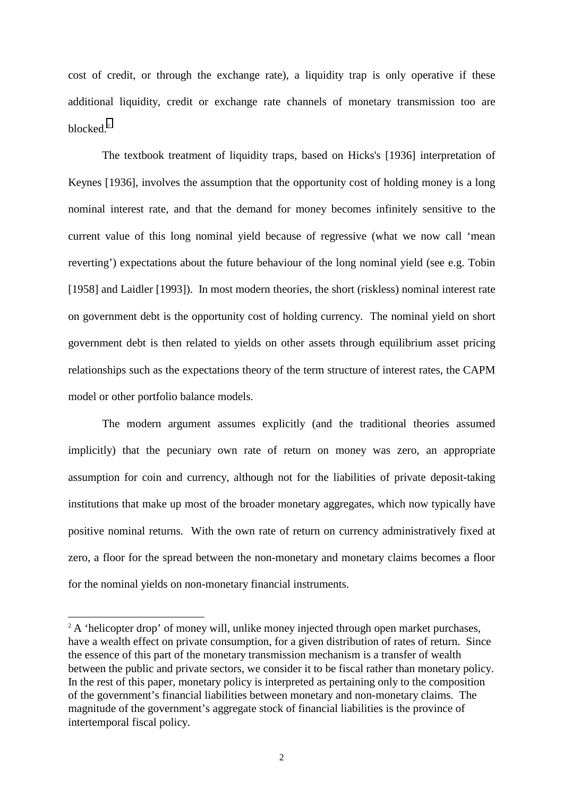cost of credit, or through the exchange rate), a liquidity trap is only operative if these additional liquidity, credit or exchange rate channels of monetary transmission too are blocked.2

The textbook treatment of liquidity traps, based on Hicks's [1936] interpretation of Keynes [1936], involves the assumption that the opportunity cost of holding money is a long nominal interest rate, and that the demand for money becomes infinitely sensitive to the current value of this long nominal yield because of regressive (what we now call 'mean reverting') expectations about the future behaviour of the long nominal yield (see e.g. Tobin [1958] and Laidler [1993]). In most modern theories, the short (riskless) nominal interest rate on government debt is the opportunity cost of holding currency. The nominal yield on short government debt is then related to yields on other assets through equilibrium asset pricing relationships such as the expectations theory of the term structure of interest rates, the CAPM model or other portfolio balance models.

The modern argument assumes explicitly (and the traditional theories assumed implicitly) that the pecuniary own rate of return on money was zero, an appropriate assumption for coin and currency, although not for the liabilities of private deposit-taking institutions that make up most of the broader monetary aggregates, which now typically have positive nominal returns. With the own rate of return on currency administratively fixed at zero, a floor for the spread between the non-monetary and monetary claims becomes a floor for the nominal yields on non-monetary financial instruments.

<sup>&</sup>lt;sup>2</sup> A 'helicopter drop' of money will, unlike money injected through open market purchases, have a wealth effect on private consumption, for a given distribution of rates of return. Since the essence of this part of the monetary transmission mechanism is a transfer of wealth between the public and private sectors, we consider it to be fiscal rather than monetary policy. In the rest of this paper, monetary policy is interpreted as pertaining only to the composition of the government's financial liabilities between monetary and non-monetary claims. The magnitude of the government's aggregate stock of financial liabilities is the province of intertemporal fiscal policy.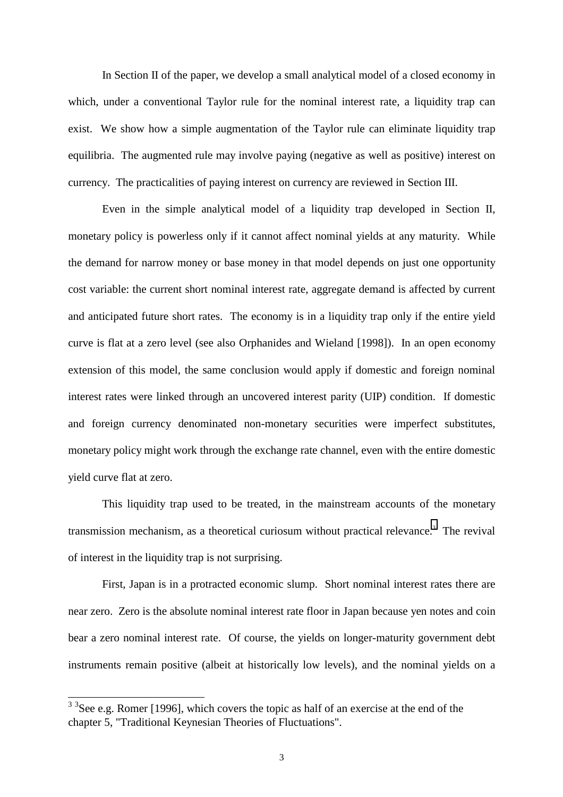In Section II of the paper, we develop a small analytical model of a closed economy in which, under a conventional Taylor rule for the nominal interest rate, a liquidity trap can exist. We show how a simple augmentation of the Taylor rule can eliminate liquidity trap equilibria. The augmented rule may involve paying (negative as well as positive) interest on currency. The practicalities of paying interest on currency are reviewed in Section III.

Even in the simple analytical model of a liquidity trap developed in Section II, monetary policy is powerless only if it cannot affect nominal yields at any maturity. While the demand for narrow money or base money in that model depends on just one opportunity cost variable: the current short nominal interest rate, aggregate demand is affected by current and anticipated future short rates. The economy is in a liquidity trap only if the entire yield curve is flat at a zero level (see also Orphanides and Wieland [1998]). In an open economy extension of this model, the same conclusion would apply if domestic and foreign nominal interest rates were linked through an uncovered interest parity (UIP) condition. If domestic and foreign currency denominated non-monetary securities were imperfect substitutes, monetary policy might work through the exchange rate channel, even with the entire domestic yield curve flat at zero.

This liquidity trap used to be treated, in the mainstream accounts of the monetary transmission mechanism, as a theoretical curiosum without practical relevance.<sup>3</sup> The revival of interest in the liquidity trap is not surprising.

First, Japan is in a protracted economic slump. Short nominal interest rates there are near zero. Zero is the absolute nominal interest rate floor in Japan because yen notes and coin bear a zero nominal interest rate. Of course, the yields on longer-maturity government debt instruments remain positive (albeit at historically low levels), and the nominal yields on a

 $3<sup>3</sup>$ See e.g. Romer [1996], which covers the topic as half of an exercise at the end of the chapter 5, "Traditional Keynesian Theories of Fluctuations".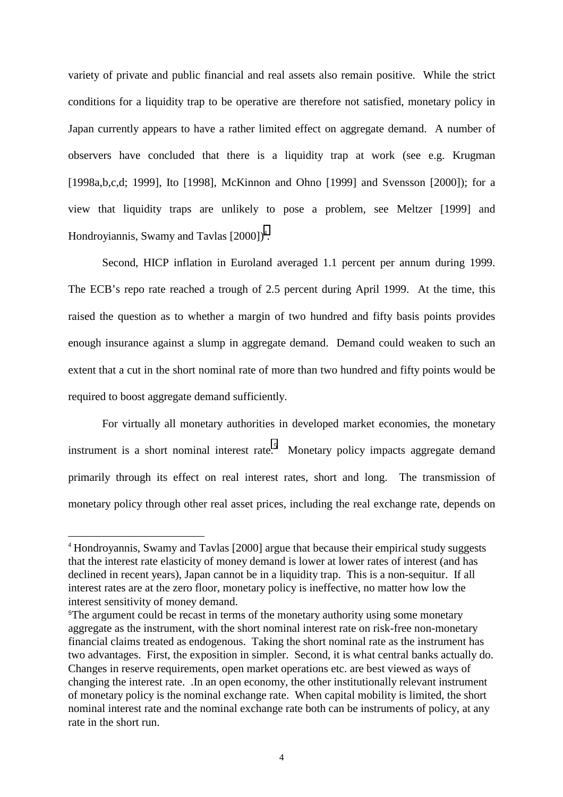variety of private and public financial and real assets also remain positive. While the strict conditions for a liquidity trap to be operative are therefore not satisfied, monetary policy in Japan currently appears to have a rather limited effect on aggregate demand. A number of observers have concluded that there is a liquidity trap at work (see e.g. Krugman [1998a,b,c,d; 1999], Ito [1998], McKinnon and Ohno [1999] and Svensson [2000]); for a view that liquidity traps are unlikely to pose a problem, see Meltzer [1999] and Hondroyiannis, Swamy and Tavlas [2000])<sup>4</sup>.

Second, HICP inflation in Euroland averaged 1.1 percent per annum during 1999. The ECB's repo rate reached a trough of 2.5 percent during April 1999. At the time, this raised the question as to whether a margin of two hundred and fifty basis points provides enough insurance against a slump in aggregate demand. Demand could weaken to such an extent that a cut in the short nominal rate of more than two hundred and fifty points would be required to boost aggregate demand sufficiently.

For virtually all monetary authorities in developed market economies, the monetary instrument is a short nominal interest rate.<sup>5</sup> Monetary policy impacts aggregate demand primarily through its effect on real interest rates, short and long. The transmission of monetary policy through other real asset prices, including the real exchange rate, depends on

<sup>4</sup> Hondroyannis, Swamy and Tavlas [2000] argue that because their empirical study suggests that the interest rate elasticity of money demand is lower at lower rates of interest (and has declined in recent years), Japan cannot be in a liquidity trap. This is a non-sequitur. If all interest rates are at the zero floor, monetary policy is ineffective, no matter how low the interest sensitivity of money demand.

<sup>&</sup>lt;sup>5</sup>The argument could be recast in terms of the monetary authority using some monetary aggregate as the instrument, with the short nominal interest rate on risk-free non-monetary financial claims treated as endogenous. Taking the short nominal rate as the instrument has two advantages. First, the exposition in simpler. Second, it is what central banks actually do. Changes in reserve requirements, open market operations etc. are best viewed as ways of changing the interest rate. .In an open economy, the other institutionally relevant instrument of monetary policy is the nominal exchange rate. When capital mobility is limited, the short nominal interest rate and the nominal exchange rate both can be instruments of policy, at any rate in the short run.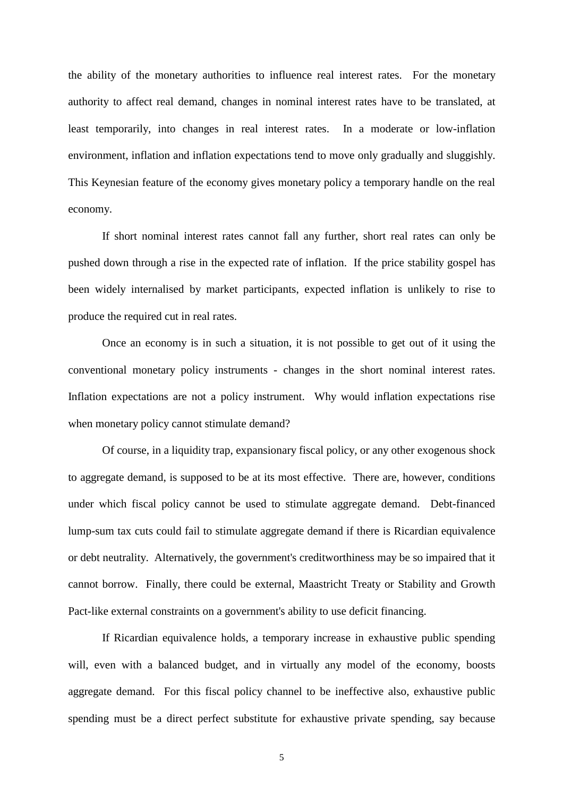the ability of the monetary authorities to influence real interest rates. For the monetary authority to affect real demand, changes in nominal interest rates have to be translated, at least temporarily, into changes in real interest rates. In a moderate or low-inflation environment, inflation and inflation expectations tend to move only gradually and sluggishly. This Keynesian feature of the economy gives monetary policy a temporary handle on the real economy.

If short nominal interest rates cannot fall any further, short real rates can only be pushed down through a rise in the expected rate of inflation. If the price stability gospel has been widely internalised by market participants, expected inflation is unlikely to rise to produce the required cut in real rates.

Once an economy is in such a situation, it is not possible to get out of it using the conventional monetary policy instruments - changes in the short nominal interest rates. Inflation expectations are not a policy instrument. Why would inflation expectations rise when monetary policy cannot stimulate demand?

Of course, in a liquidity trap, expansionary fiscal policy, or any other exogenous shock to aggregate demand, is supposed to be at its most effective. There are, however, conditions under which fiscal policy cannot be used to stimulate aggregate demand. Debt-financed lump-sum tax cuts could fail to stimulate aggregate demand if there is Ricardian equivalence or debt neutrality. Alternatively, the government's creditworthiness may be so impaired that it cannot borrow. Finally, there could be external, Maastricht Treaty or Stability and Growth Pact-like external constraints on a government's ability to use deficit financing.

If Ricardian equivalence holds, a temporary increase in exhaustive public spending will, even with a balanced budget, and in virtually any model of the economy, boosts aggregate demand. For this fiscal policy channel to be ineffective also, exhaustive public spending must be a direct perfect substitute for exhaustive private spending, say because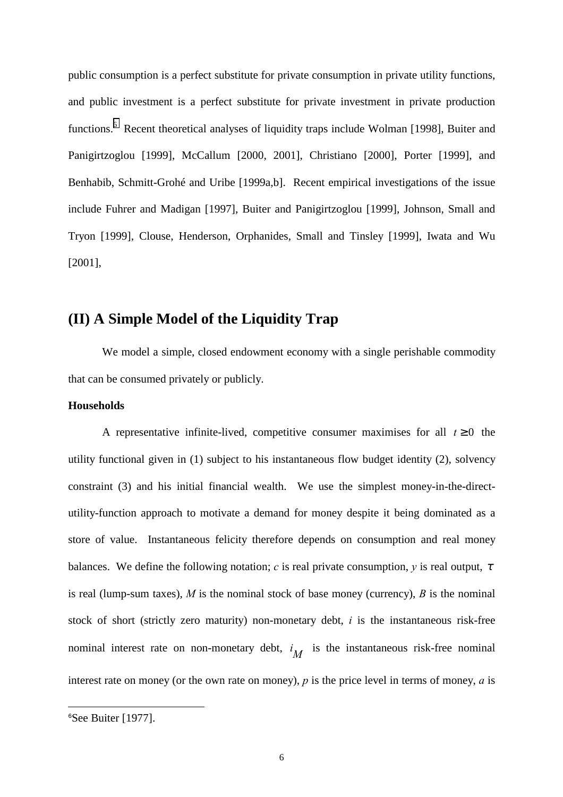public consumption is a perfect substitute for private consumption in private utility functions, and public investment is a perfect substitute for private investment in private production functions.<sup>6</sup> Recent theoretical analyses of liquidity traps include Wolman [1998], Buiter and Panigirtzoglou [1999], McCallum [2000, 2001], Christiano [2000], Porter [1999], and Benhabib, Schmitt-Grohé and Uribe [1999a,b]. Recent empirical investigations of the issue include Fuhrer and Madigan [1997], Buiter and Panigirtzoglou [1999], Johnson, Small and Tryon [1999], Clouse, Henderson, Orphanides, Small and Tinsley [1999], Iwata and Wu [2001],

## **(II) A Simple Model of the Liquidity Trap**

We model a simple, closed endowment economy with a single perishable commodity that can be consumed privately or publicly.

#### **Households**

A representative infinite-lived, competitive consumer maximises for all  $t \ge 0$  the utility functional given in (1) subject to his instantaneous flow budget identity (2), solvency constraint (3) and his initial financial wealth. We use the simplest money-in-the-directutility-function approach to motivate a demand for money despite it being dominated as a store of value. Instantaneous felicity therefore depends on consumption and real money balances. We define the following notation; *c* is real private consumption, *y* is real output,  $\tau$ is real (lump-sum taxes), *M* is the nominal stock of base money (currency), *B* is the nominal stock of short (strictly zero maturity) non-monetary debt, *i* is the instantaneous risk-free nominal interest rate on non-monetary debt,  $i_M$  is the instantaneous risk-free nominal interest rate on money (or the own rate on money), *p* is the price level in terms of money, *a* is

<sup>6</sup> See Buiter [1977].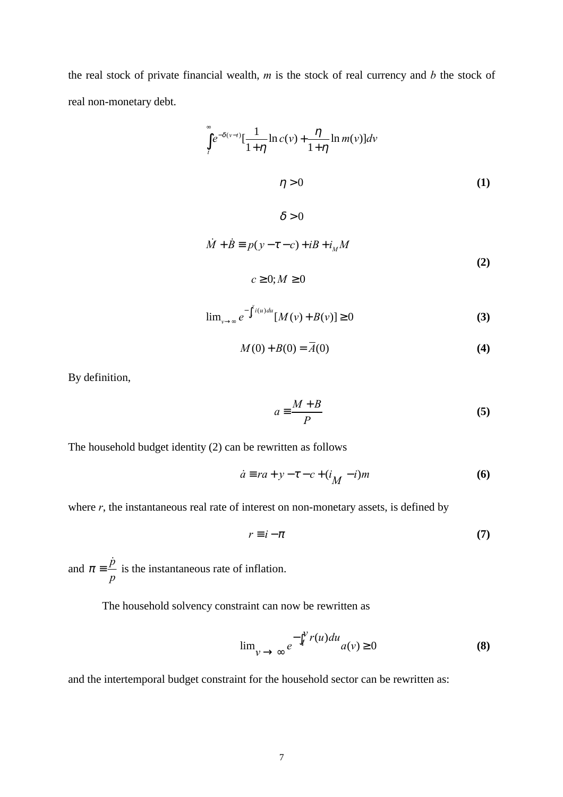the real stock of private financial wealth, *m* is the stock of real currency and *b* the stock of real non-monetary debt.

$$
\int_{t}^{\infty} e^{-\delta(\nu-t)} \left[\frac{1}{1+\eta}\ln c(\nu) + \frac{\eta}{1+\eta}\ln m(\nu)\right] d\nu
$$
\n
$$
\eta > 0 \tag{1}
$$

 $\delta > 0$ 

$$
\dot{M} + \dot{B} \equiv p(y - \tau - c) + iB + i_M M
$$
\n(2)

 $c \geq 0; M \geq 0$ 

$$
\lim_{v \to \infty} e^{-\int_{t}^{v} i(u) du} [M(v) + B(v)] \ge 0
$$
 (3)

$$
M(0) + B(0) = \overline{A(0)}\tag{4}
$$

By definition,

$$
a \equiv \frac{M + B}{P} \tag{5}
$$

The household budget identity (2) can be rewritten as follows

$$
\dot{a} \equiv ra + y - \tau - c + (i_M - i)m \tag{6}
$$

where  $r$ , the instantaneous real rate of interest on non-monetary assets, is defined by

$$
r \equiv i - \pi \tag{7}
$$

and  $\pi = \frac{\dot{p}}{p}$ *p*  $\pi \equiv \frac{\dot{p}}{r}$  is the instantaneous rate of inflation.

The household solvency constraint can now be rewritten as

$$
\lim_{v \to \infty} e^{-\int_{t}^{v} r(u) du} a(v) \ge 0
$$
 (8)

and the intertemporal budget constraint for the household sector can be rewritten as: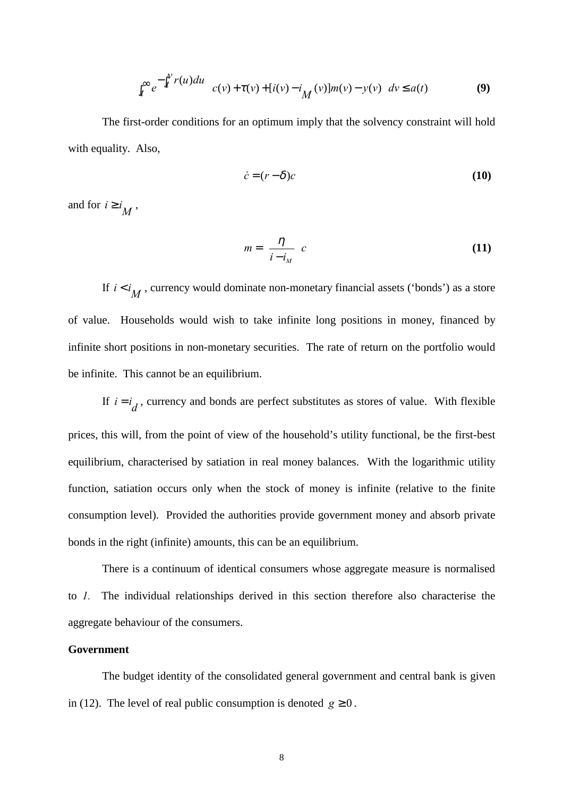$$
\int_t^{\infty} e^{-\int_t^{\nu} r(u) du} \left[ c(v) + \tau(v) + [i(v) - i_M(v)] m(v) - y(v) \right] dv \le a(t)
$$
 (9)

The first-order conditions for an optimum imply that the solvency constraint will hold with equality. Also,

$$
\dot{c} = (r - \delta)c \tag{10}
$$

and for  $i \ge i_M$ ,

$$
m = \left(\frac{\eta}{i - i_M}\right)c\tag{11}
$$

If  $i < i<sub>M</sub>$ , currency would dominate non-monetary financial assets ('bonds') as a store of value. Households would wish to take infinite long positions in money, financed by infinite short positions in non-monetary securities. The rate of return on the portfolio would be infinite. This cannot be an equilibrium.

If  $i = i_d$ , currency and bonds are perfect substitutes as stores of value. With flexible prices, this will, from the point of view of the household's utility functional, be the first-best equilibrium, characterised by satiation in real money balances. With the logarithmic utility function, satiation occurs only when the stock of money is infinite (relative to the finite consumption level). Provided the authorities provide government money and absorb private bonds in the right (infinite) amounts, this can be an equilibrium.

There is a continuum of identical consumers whose aggregate measure is normalised to *1.* The individual relationships derived in this section therefore also characterise the aggregate behaviour of the consumers.

#### **Government**

The budget identity of the consolidated general government and central bank is given in (12). The level of real public consumption is denoted  $g \ge 0$ .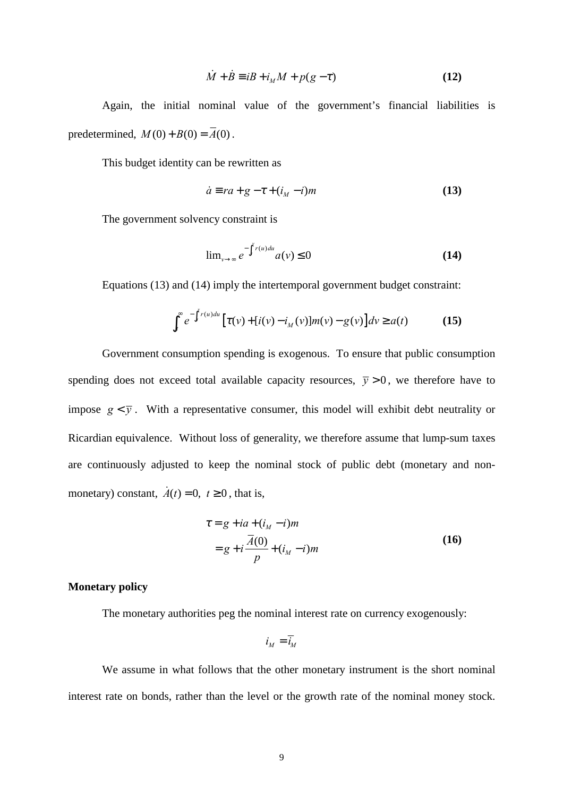$$
\dot{M} + \dot{B} \equiv iB + i_M M + p(g - \tau)
$$
 (12)

Again, the initial nominal value of the government's financial liabilities is predetermined,  $M(0) + B(0) = \overline{A}(0)$ .

This budget identity can be rewritten as

$$
\dot{a} \equiv ra + g - \tau + (i_M - i)m \tag{13}
$$

The government solvency constraint is

$$
\lim_{\nu \to \infty} e^{-\int_t^{\nu} r(u) du} a(\nu) \le 0
$$
\n(14)

Equations (13) and (14) imply the intertemporal government budget constraint:

$$
\int_{t}^{\infty} e^{-\int_{t}^{v} r(u) du} \left[ \tau(v) + [i(v) - i_{M}(v)] m(v) - g(v) \right] dv \ge a(t)
$$
 (15)

Government consumption spending is exogenous. To ensure that public consumption spending does not exceed total available capacity resources,  $\bar{y} > 0$ , we therefore have to impose  $g \lt \overline{y}$ . With a representative consumer, this model will exhibit debt neutrality or Ricardian equivalence. Without loss of generality, we therefore assume that lump-sum taxes are continuously adjusted to keep the nominal stock of public debt (monetary and nonmonetary) constant,  $\dot{A}(t) = 0$ ,  $t \ge 0$ , that is,

$$
\tau = g + ia + (i_M - i)m \n= g + i \frac{\bar{A}(0)}{p} + (i_M - i)m
$$
\n(16)

#### **Monetary policy**

The monetary authorities peg the nominal interest rate on currency exogenously:

$$
i_M = \overline{i}_M
$$

We assume in what follows that the other monetary instrument is the short nominal interest rate on bonds, rather than the level or the growth rate of the nominal money stock.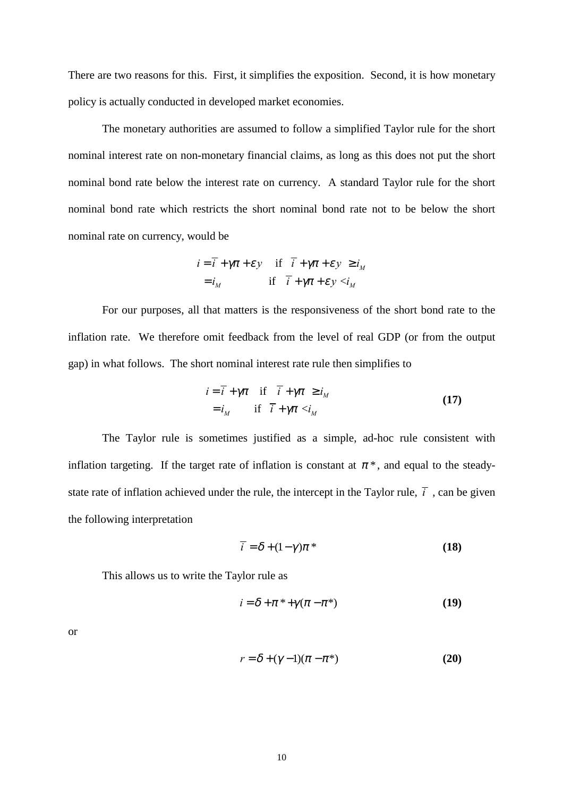There are two reasons for this. First, it simplifies the exposition. Second, it is how monetary policy is actually conducted in developed market economies.

The monetary authorities are assumed to follow a simplified Taylor rule for the short nominal interest rate on non-monetary financial claims, as long as this does not put the short nominal bond rate below the interest rate on currency. A standard Taylor rule for the short nominal bond rate which restricts the short nominal bond rate not to be below the short nominal rate on currency, would be

$$
i = \overline{i} + \gamma \pi + \varepsilon y \quad \text{if} \quad \overline{i} + \gamma \pi + \varepsilon y \ge i_M
$$
  
=  $i_M$  if  $\overline{i} + \gamma \pi + \varepsilon y \le i_M$ 

For our purposes, all that matters is the responsiveness of the short bond rate to the inflation rate. We therefore omit feedback from the level of real GDP (or from the output gap) in what follows. The short nominal interest rate rule then simplifies to

$$
i = \overline{i} + \gamma \pi \quad \text{if} \quad \overline{i} + \gamma \pi \ge i_M
$$
  
=  $i_M$  if  $\overline{i} + \gamma \pi < i_M$  (17)

The Taylor rule is sometimes justified as a simple, ad-hoc rule consistent with inflation targeting. If the target rate of inflation is constant at  $\pi^*$ , and equal to the steadystate rate of inflation achieved under the rule, the intercept in the Taylor rule,  $\bar{i}$ , can be given the following interpretation

$$
\overline{i} = \delta + (1 - \gamma)\pi^* \tag{18}
$$

This allows us to write the Taylor rule as

$$
i = \delta + \pi^* + \gamma(\pi - \pi^*)
$$
 (19)

or

$$
r = \delta + (\gamma - 1)(\pi - \pi^*)
$$
 (20)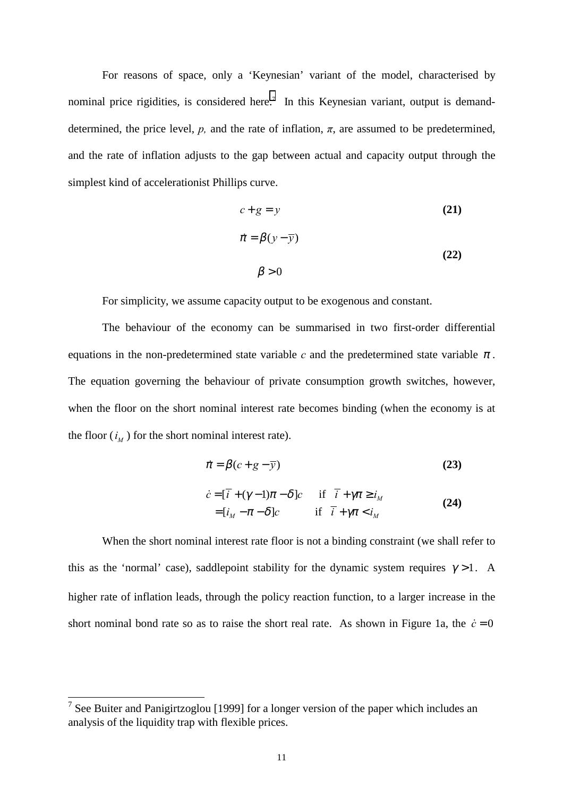For reasons of space, only a 'Keynesian' variant of the model, characterised by nominal price rigidities, is considered here.<sup>7</sup> In this Keynesian variant, output is demanddetermined, the price level,  $p$ , and the rate of inflation,  $\pi$ , are assumed to be predetermined, and the rate of inflation adjusts to the gap between actual and capacity output through the simplest kind of accelerationist Phillips curve.

$$
c+g=y
$$
 (21)  

$$
\vec{\pi} = \beta(y-\overline{y})
$$
 (22)  

$$
\beta > 0
$$

For simplicity, we assume capacity output to be exogenous and constant.

The behaviour of the economy can be summarised in two first-order differential equations in the non-predetermined state variable  $c$  and the predetermined state variable  $\pi$ . The equation governing the behaviour of private consumption growth switches, however, when the floor on the short nominal interest rate becomes binding (when the economy is at the floor  $(i_M)$  for the short nominal interest rate).

$$
\dot{\pi} = \beta(c + g - \overline{y})\tag{23}
$$

$$
\dot{c} = [\bar{i} + (\gamma - 1)\pi - \delta]c \quad \text{if } \bar{i} + \gamma\pi \ge i_M
$$
  
= 
$$
[i_M - \pi - \delta]c \quad \text{if } \bar{i} + \gamma\pi < i_M
$$
 (24)

When the short nominal interest rate floor is not a binding constraint (we shall refer to this as the 'normal' case), saddlepoint stability for the dynamic system requires  $\gamma > 1$ . A higher rate of inflation leads, through the policy reaction function, to a larger increase in the short nominal bond rate so as to raise the short real rate. As shown in Figure 1a, the  $\dot{c} = 0$ 

 $\frac{7}{7}$  See Buiter and Panigirtzoglou [1999] for a longer version of the paper which includes an analysis of the liquidity trap with flexible prices.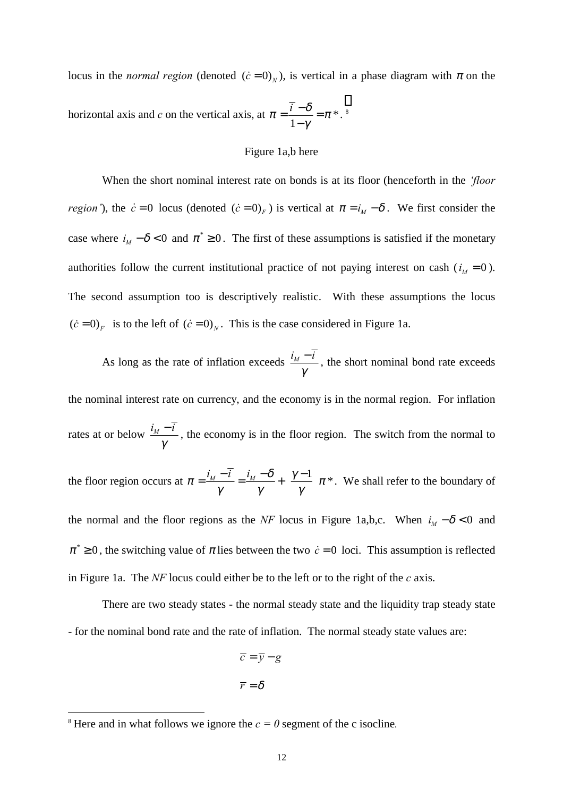locus in the *normal region* (denoted  $(\dot{c} = 0)_N$ ), is vertical in a phase diagram with  $\pi$  on the horizontal axis and *c* on the vertical axis, at  $\pi = \frac{1}{2} = \pi *$ 1  $\pi = \frac{\overline{i} - \delta}{\pi} = \pi$  $=\frac{\overline{i} - \delta}{1-\gamma} = \pi *$ .

#### Figure 1a,b here

When the short nominal interest rate on bonds is at its floor (henceforth in the *ëfloor region'*), the  $\dot{c} = 0$  locus (denoted  $(\dot{c} = 0)_F$ ) is vertical at  $\pi = i_M - \delta$ . We first consider the case where  $i_M - \delta < 0$  and  $\pi^* \ge 0$ . The first of these assumptions is satisfied if the monetary authorities follow the current institutional practice of not paying interest on cash ( $i<sub>M</sub> = 0$ ). The second assumption too is descriptively realistic. With these assumptions the locus  $(\dot{c} = 0)_F$  is to the left of  $(\dot{c} = 0)_N$ . This is the case considered in Figure 1a.

As long as the rate of inflation exceeds  $\frac{i_M - \overline{i}_M}{\overline{i}_M - \overline{i}_M}$ γ  $-\overline{i}$ , the short nominal bond rate exceeds the nominal interest rate on currency, and the economy is in the normal region. For inflation

rates at or below  $\frac{i_M - \overline{i}_M}{\overline{i}_M - \overline{i}_M}$ γ  $-\overline{i}$ , the economy is in the floor region. The switch from the normal to

the floor region occurs at  $\pi = \frac{i_M - \bar{i}}{n} = \frac{i_M - \delta}{n} + \left(\frac{\gamma - 1}{n}\right)\pi$  $=\frac{i_M-\overline{i}}{\gamma}=\frac{i_M-\delta}{\gamma}+\left(\frac{\gamma-1}{\gamma}\right)\pi^*$ . We shall refer to the boundary of

the normal and the floor regions as the *NF* locus in Figure 1a,b,c. When  $i_M - \delta < 0$  and  $\pi^* \geq 0$ , the switching value of  $\pi$  lies between the two  $\dot{c} = 0$  loci. This assumption is reflected in Figure 1a. The *NF* locus could either be to the left or to the right of the *c* axis.

There are two steady states - the normal steady state and the liquidity trap steady state - for the nominal bond rate and the rate of inflation. The normal steady state values are:

$$
\overline{c} = \overline{y} - g
$$

$$
\overline{r} = \delta
$$

l

<sup>&</sup>lt;sup>8</sup> Here and in what follows we ignore the  $c = 0$  segment of the c isocline.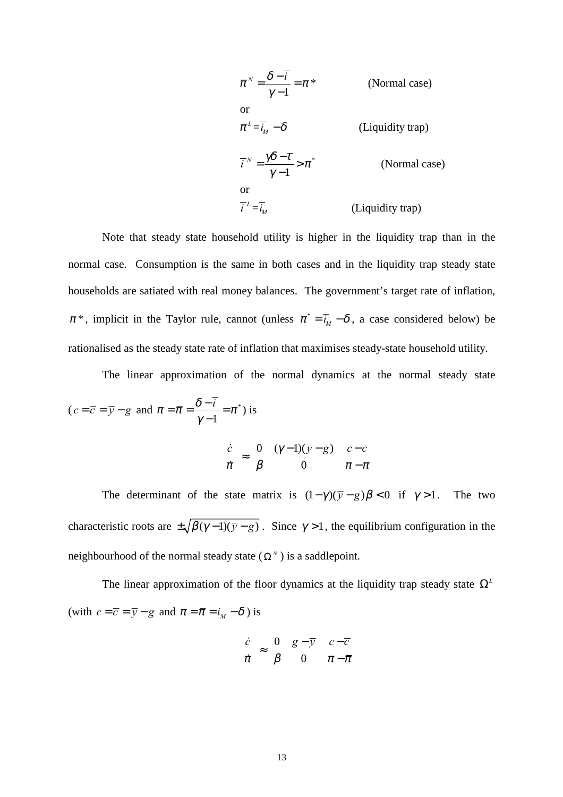$$
\bar{\pi}^{N} = \frac{\delta - \bar{i}}{\gamma - 1} = \pi^{*}
$$
 (Normal case)  
or  

$$
\bar{\pi}^{L} = \bar{i}_{M} - \delta
$$
 (Liquidity trap)  

$$
\bar{i}^{N} = \frac{\gamma \delta - \bar{i}}{\gamma - 1} > \pi^{*}
$$
 (Normal case)  
or  

$$
\bar{i}^{L} = \bar{i}_{M}
$$
 (Liquidity trap)

Note that steady state household utility is higher in the liquidity trap than in the normal case. Consumption is the same in both cases and in the liquidity trap steady state households are satiated with real money balances. The government's target rate of inflation,  $\pi^*$ , implicit in the Taylor rule, cannot (unless  $\pi^* = \overline{i}_M - \delta$ , a case considered below) be rationalised as the steady state rate of inflation that maximises steady-state household utility.

The linear approximation of the normal dynamics at the normal steady state

$$
(c = \overline{c} = \overline{y} - g \text{ and } \pi = \overline{\pi} = \frac{\delta - \overline{i}}{\gamma - 1} = \pi^*)
$$
 is  

$$
\begin{bmatrix} \dot{c} \\ \dot{\pi} \end{bmatrix} \approx \begin{bmatrix} 0 & (\gamma - 1)(\overline{y} - g) \\ \beta & 0 \end{bmatrix} \begin{bmatrix} c - \overline{c} \\ \pi - \overline{\pi} \end{bmatrix}
$$

The determinant of the state matrix is  $(1 - \gamma)(\overline{y} - g)\beta < 0$  if  $\gamma > 1$ . The two characteristic roots are  $\pm \sqrt{\beta(\gamma-1)(\overline{\gamma}-g)}$ . Since  $\gamma > 1$ , the equilibrium configuration in the neighbourhood of the normal steady state ( $\Omega^N$ ) is a saddlepoint.

The linear approximation of the floor dynamics at the liquidity trap steady state  $\Omega^L$ (with  $c=\overline{c}=\overline{y}-g$  and  $\pi=\overline{\pi}=i_{\scriptscriptstyle M}-\delta$  ) is

$$
\begin{bmatrix} \dot{c} \\ \dot{\pi} \end{bmatrix} \approx \begin{bmatrix} 0 & g - \overline{y} \\ \beta & 0 \end{bmatrix} \begin{bmatrix} c - \overline{c} \\ \pi - \overline{\pi} \end{bmatrix}
$$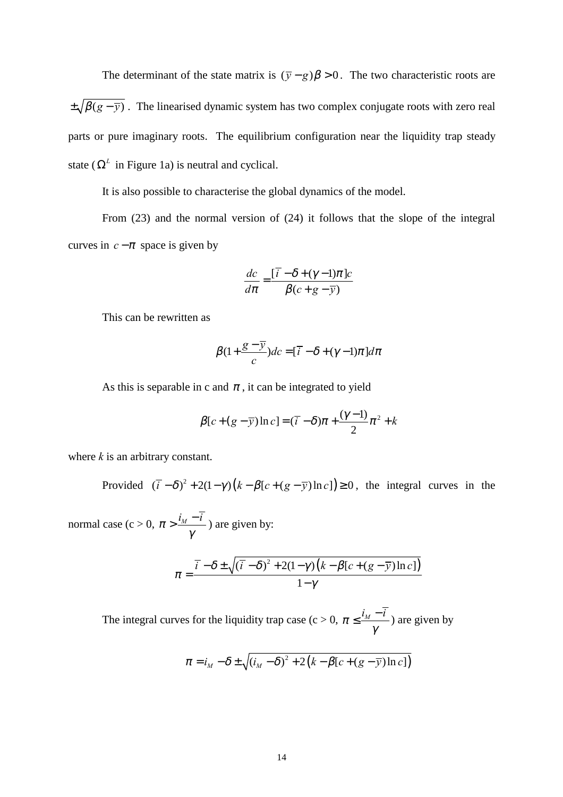The determinant of the state matrix is  $(\bar{y} - g)\beta > 0$ . The two characteristic roots are  $\pm \sqrt{\beta(g-\overline{y})}$ . The linearised dynamic system has two complex conjugate roots with zero real parts or pure imaginary roots. The equilibrium configuration near the liquidity trap steady state ( $\Omega^L$  in Figure 1a) is neutral and cyclical.

It is also possible to characterise the global dynamics of the model.

From (23) and the normal version of (24) it follows that the slope of the integral curves in  $c - \pi$  space is given by

$$
\frac{dc}{d\pi} = \frac{\left[\overline{i} - \delta + (\gamma - 1)\pi\right]c}{\beta(c + g - \overline{y})}
$$

This can be rewritten as

$$
\beta(1+\frac{g-\overline{y}}{c})dc = [\overline{i} - \delta + (\gamma - 1)\pi]d\pi
$$

As this is separable in c and  $\pi$ , it can be integrated to yield

$$
\beta[c+(g-\overline{y})\ln c]=(\overline{i}-\delta)\pi+\frac{(\gamma-1)}{2}\pi^2+k
$$

where *k* is an arbitrary constant.

Provided  $(\bar{i} - \delta)^2 + 2(1 - \gamma)(k - \beta[c + (g - \bar{y})\ln c]) \ge 0$ , the integral curves in the

normal case (c > 0,  $\pi > \frac{i_M - \overline{i}}{M}$ γ  $>\frac{i_M-\overline{i}}{2}$ ) are given by:

$$
\pi = \frac{\overline{i} - \delta \pm \sqrt{(\overline{i} - \delta)^2 + 2(1 - \gamma)(k - \beta[c + (g - \overline{y})\ln c])}}{1 - \gamma}
$$

The integral curves for the liquidity trap case (c > 0,  $\pi \leq \frac{i_M - \overline{i}_M}{\sqrt{m}}$ γ  $\leq \frac{i_M - \overline{i}}{2}$ ) are given by

$$
\pi = i_M - \delta \pm \sqrt{(i_M - \delta)^2 + 2(k - \beta[c + (g - \overline{y})\ln c])}
$$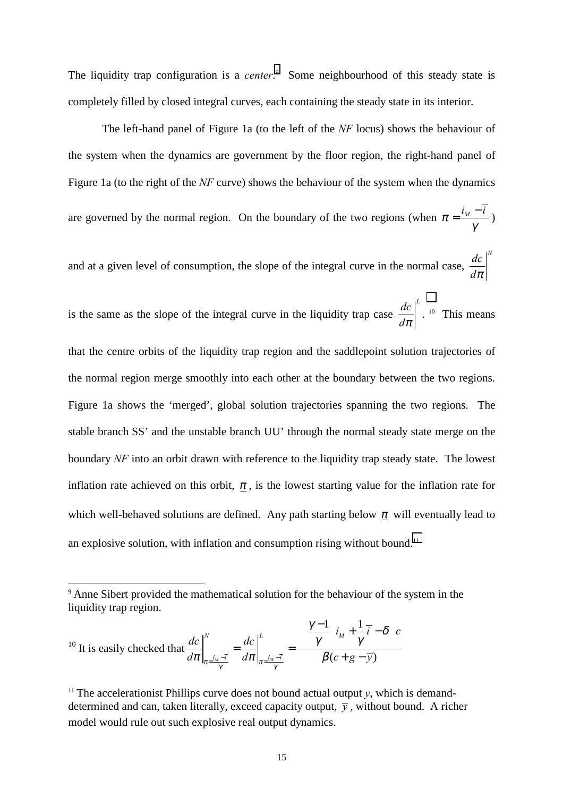The liquidity trap configuration is a *center*. 9 Some neighbourhood of this steady state is completely filled by closed integral curves, each containing the steady state in its interior.

The left-hand panel of Figure 1a (to the left of the *NF* locus) shows the behaviour of the system when the dynamics are government by the floor region, the right-hand panel of Figure 1a (to the right of the *NF* curve) shows the behaviour of the system when the dynamics are governed by the normal region. On the boundary of the two regions (when  $\pi = \frac{i_M - \overline{i}_M}{\overline{i}_M}$ γ  $=\frac{i_M-\overline{i}}{2}$ 

and at a given level of consumption, the slope of the integral curve in the normal case,  $dc\mid^N$ *d*<sup>π</sup>

is the same as the slope of the integral curve in the liquidity trap case  $\left. \frac{dc}{d\pi} \right|^{L}$ . <sup>10</sup> This means that the centre orbits of the liquidity trap region and the saddlepoint solution trajectories of the normal region merge smoothly into each other at the boundary between the two regions. Figure 1a shows the 'merged', global solution trajectories spanning the two regions. The stable branch SS' and the unstable branch UU' through the normal steady state merge on the boundary *NF* into an orbit drawn with reference to the liquidity trap steady state. The lowest inflation rate achieved on this orbit,  $\pi$ , is the lowest starting value for the inflation rate for which well-behaved solutions are defined. Any path starting below  $\pi$  will eventually lead to an explosive solution, with inflation and consumption rising without bound.<sup>11</sup>

l

<sup>9</sup> Anne Sibert provided the mathematical solution for the behaviour of the system in the liquidity trap region.

 $10$  It is easily checked that  $1$ ,  $1$  $\frac{d}{dx} \frac{d}{dx} \left| \frac{d}{dx} \frac{d}{dx} \right|_{x = \frac{i}{y}}$  (c+g-y) *N*  $\mathbf{L}$   $\mathbf{L}$   $\mathbf{L}$   $\mathbf{L}$   $\mathbf{L}$   $\mathbf{L}$   $\mathbf{L}$   $\mathbf{L}$   $\mathbf{L}$  $i_M - \bar{i}$   $d\pi$   $\vert$   $i_M - \bar{i}$  $i_M + \overline{i} - \delta$  | c  $dc \, \vert^N$  *dc*  $d\pi\big|_{\pi=\frac{i_M-\overline{t}}{\gamma}} \quad d\pi\big|_{\pi=\frac{i_M-\overline{t}}{\gamma}} \qquad \qquad \beta(c+g-\overline{y})$  $\frac{\gamma-1}{i}$   $\big|_{i,t} + \frac{1}{i} - \delta$ γ γ  $\frac{d c}{d \pi} \bigg|_{\pi = \frac{i_M - \overline{t}}{M}}^N = \frac{d c}{d \pi} \bigg|_{\pi = \frac{i_M - \overline{t}}{M}}^L = \frac{\left[ \left( \frac{\gamma - 1}{\gamma} \right) i_M + \frac{1}{\gamma} \overline{t} - \delta \right]}{\beta (c + g - \overline{y})}$ 

<sup>&</sup>lt;sup>11</sup> The accelerationist Phillips curve does not bound actual output  $v$ , which is demanddetermined and can, taken literally, exceed capacity output,  $\overline{y}$ , without bound. A richer model would rule out such explosive real output dynamics.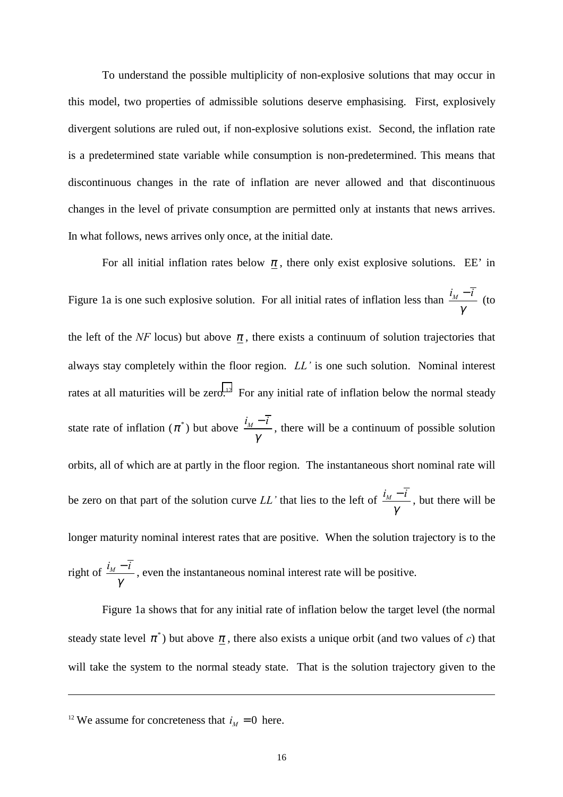To understand the possible multiplicity of non-explosive solutions that may occur in this model, two properties of admissible solutions deserve emphasising. First, explosively divergent solutions are ruled out, if non-explosive solutions exist. Second, the inflation rate is a predetermined state variable while consumption is non-predetermined. This means that discontinuous changes in the rate of inflation are never allowed and that discontinuous changes in the level of private consumption are permitted only at instants that news arrives. In what follows, news arrives only once, at the initial date.

For all initial inflation rates below  $\pi$ , there only exist explosive solutions. EE' in Figure 1a is one such explosive solution. For all initial rates of inflation less than  $\frac{i_M - \overline{i}_M}{\overline{i}_M}$ γ  $\frac{-\bar{i}}{i}$  (to the left of the *NF* locus) but above  $\pi$ , there exists a continuum of solution trajectories that always stay completely within the floor region. *LL'* is one such solution. Nominal interest rates at all maturities will be zero.<sup>12</sup> For any initial rate of inflation below the normal steady state rate of inflation  $(\pi^*)$  but above  $\frac{i_M - \bar{i}_M}{\bar{i}_M - \bar{i}_M}$ γ  $-\overline{\overline{t}}$ , there will be a continuum of possible solution orbits, all of which are at partly in the floor region. The instantaneous short nominal rate will be zero on that part of the solution curve *LL*<sup> $\prime$ </sup> that lies to the left of  $\frac{i_M - \overline{i}_M}{\overline{i}_M}$ γ  $-\overline{i}$ , but there will be longer maturity nominal interest rates that are positive. When the solution trajectory is to the right of  $\frac{i_M - \overline{i}_M}{\overline{i}_M}$ γ  $-\overline{i}$ , even the instantaneous nominal interest rate will be positive.

Figure 1a shows that for any initial rate of inflation below the target level (the normal steady state level  $\pi^*$ ) but above  $\pi$ , there also exists a unique orbit (and two values of *c*) that will take the system to the normal steady state. That is the solution trajectory given to the

<sup>&</sup>lt;sup>12</sup> We assume for concreteness that  $i<sub>M</sub> = 0$  here.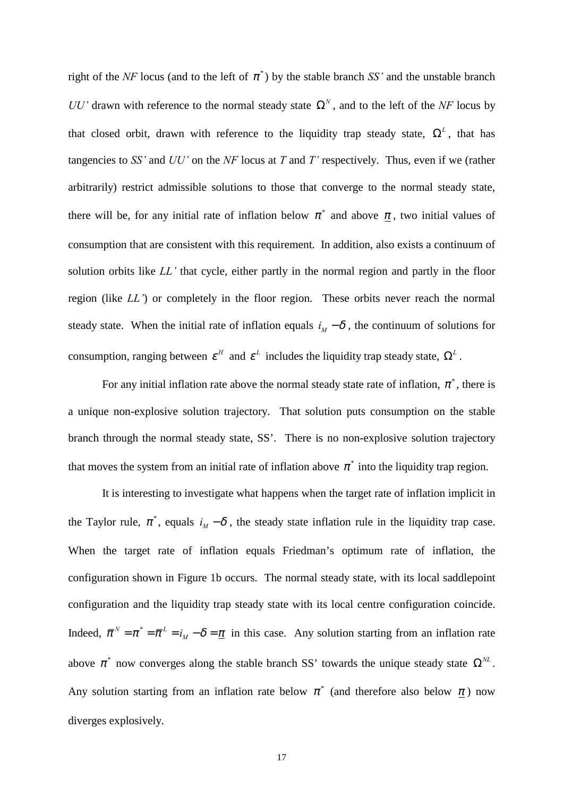right of the *NF* locus (and to the left of  $\pi^*$ ) by the stable branch *SS'* and the unstable branch *UU<sup>* $\prime$ *</sup>* drawn with reference to the normal steady state  $\Omega^N$ , and to the left of the *NF* locus by that closed orbit, drawn with reference to the liquidity trap steady state,  $\Omega^L$ , that has tangencies to *SS'* and *UU'* on the *NF* locus at *T* and *T'* respectively. Thus, even if we (rather arbitrarily) restrict admissible solutions to those that converge to the normal steady state, there will be, for any initial rate of inflation below  $\pi^*$  and above  $\pi$ , two initial values of consumption that are consistent with this requirement. In addition, also exists a continuum of solution orbits like *LL*<sup> $\prime$ </sup> that cycle, either partly in the normal region and partly in the floor region (like *LL'*) or completely in the floor region. These orbits never reach the normal steady state. When the initial rate of inflation equals  $i_M - \delta$ , the continuum of solutions for consumption, ranging between  $\varepsilon^H$  and  $\varepsilon^L$  includes the liquidity trap steady state,  $\Omega^L$ .

For any initial inflation rate above the normal steady state rate of inflation,  $\pi^*$ , there is a unique non-explosive solution trajectory. That solution puts consumption on the stable branch through the normal steady state, SS'. There is no non-explosive solution trajectory that moves the system from an initial rate of inflation above  $\pi^*$  into the liquidity trap region.

It is interesting to investigate what happens when the target rate of inflation implicit in the Taylor rule,  $\pi^*$ , equals  $i_M - \delta$ , the steady state inflation rule in the liquidity trap case. When the target rate of inflation equals Friedman's optimum rate of inflation, the configuration shown in Figure 1b occurs. The normal steady state, with its local saddlepoint configuration and the liquidity trap steady state with its local centre configuration coincide. Indeed,  $\bar{\pi}^N = \pi^* = \bar{\pi}^L = i_M - \delta = \underline{\pi}$  in this case. Any solution starting from an inflation rate above  $\pi^*$  now converges along the stable branch SS' towards the unique steady state  $\Omega^{\text{NL}}$ . Any solution starting from an inflation rate below  $\pi^*$  (and therefore also below  $\pi$ ) now diverges explosively.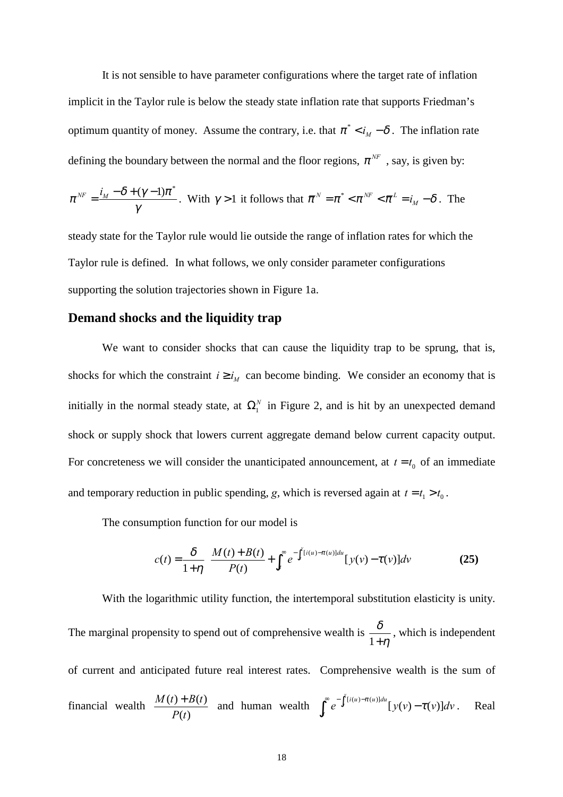It is not sensible to have parameter configurations where the target rate of inflation implicit in the Taylor rule is below the steady state inflation rate that supports Friedman's optimum quantity of money. Assume the contrary, i.e. that  $\pi^* < i_M - \delta$ . The inflation rate defining the boundary between the normal and the floor regions,  $\pi^{NF}$ , say, is given by:

$$
\pi^{NF} = \frac{i_M - \delta + (\gamma - 1)\pi^*}{\gamma}.
$$
 With  $\gamma > 1$  it follows that  $\overline{\pi}^N = \pi^* < \pi^{NF} < \overline{\pi}^L = i_M - \delta$ . The

steady state for the Taylor rule would lie outside the range of inflation rates for which the Taylor rule is defined. In what follows, we only consider parameter configurations supporting the solution trajectories shown in Figure 1a.

#### **Demand shocks and the liquidity trap**

We want to consider shocks that can cause the liquidity trap to be sprung, that is, shocks for which the constraint  $i \ge i_M$  can become binding. We consider an economy that is initially in the normal steady state, at  $\Omega_1^N$  in Figure 2, and is hit by an unexpected demand shock or supply shock that lowers current aggregate demand below current capacity output. For concreteness we will consider the unanticipated announcement, at  $t = t_0$  of an immediate and temporary reduction in public spending, *g*, which is reversed again at  $t = t_1 > t_0$ .

The consumption function for our model is

$$
c(t) = \frac{\delta}{1+\eta} \left[ \frac{M(t) + B(t)}{P(t)} + \int_{t}^{\infty} e^{-\int_{t}^{v}[i(u) - \pi(u)]du} [y(v) - \tau(v)]dv \right]
$$
(25)

With the logarithmic utility function, the intertemporal substitution elasticity is unity. The marginal propensity to spend out of comprehensive wealth is  $\frac{\delta}{1+}$  $+\eta$ , which is independent of current and anticipated future real interest rates. Comprehensive wealth is the sum of financial wealth  $\frac{M(t) + B(t)}{D(t)}$  $(t)$  $M(t) + B(t)$ *P t*  $\frac{+ B(t)}{t}$  and human wealth  $\int_{0}^{\infty} e^{-\int_{t}^{v}[i(u) - \pi(u)]du} [y(v) - \tau(v)]$  $\int_t^{\infty} e^{-\int_t^{\nu} [i(u) - \pi(u)] du} [y(v) - \tau(v)] dv$ . Real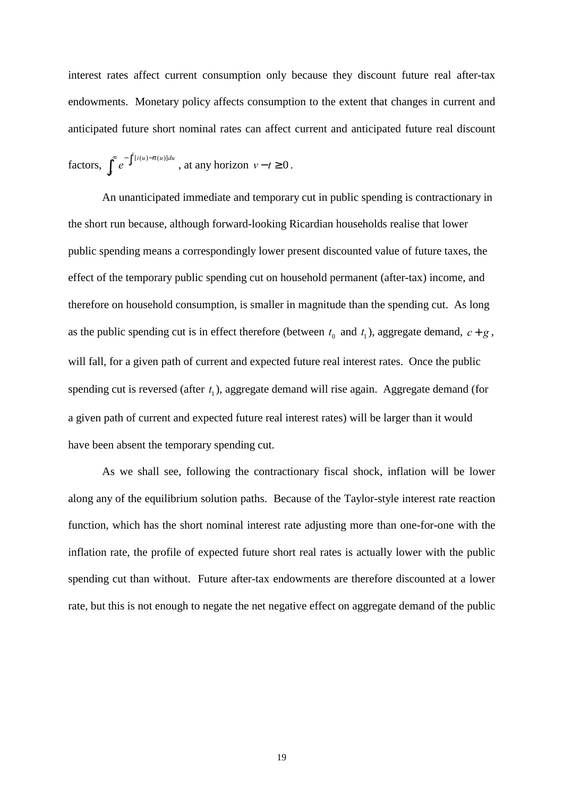interest rates affect current consumption only because they discount future real after-tax endowments. Monetary policy affects consumption to the extent that changes in current and anticipated future short nominal rates can affect current and anticipated future real discount

factors, 
$$
\int_t^{\infty} e^{-\int_t^v [i(u)-\pi(u)]du}
$$
, at any horizon  $v-t \ge 0$ .

An unanticipated immediate and temporary cut in public spending is contractionary in the short run because, although forward-looking Ricardian households realise that lower public spending means a correspondingly lower present discounted value of future taxes, the effect of the temporary public spending cut on household permanent (after-tax) income, and therefore on household consumption, is smaller in magnitude than the spending cut. As long as the public spending cut is in effect therefore (between  $t_0$  and  $t_1$ ), aggregate demand,  $c + g$ , will fall, for a given path of current and expected future real interest rates. Once the public spending cut is reversed (after  $t_1$ ), aggregate demand will rise again. Aggregate demand (for a given path of current and expected future real interest rates) will be larger than it would have been absent the temporary spending cut.

As we shall see, following the contractionary fiscal shock, inflation will be lower along any of the equilibrium solution paths. Because of the Taylor-style interest rate reaction function, which has the short nominal interest rate adjusting more than one-for-one with the inflation rate, the profile of expected future short real rates is actually lower with the public spending cut than without. Future after-tax endowments are therefore discounted at a lower rate, but this is not enough to negate the net negative effect on aggregate demand of the public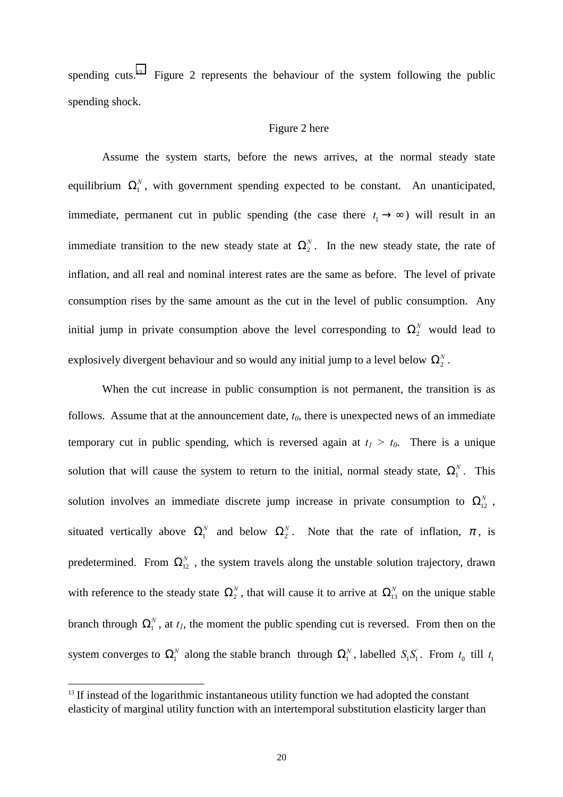spending cuts.<sup>13</sup> Figure 2 represents the behaviour of the system following the public spending shock.

#### Figure 2 here

Assume the system starts, before the news arrives, at the normal steady state equilibrium  $\Omega_1^N$ , with government spending expected to be constant. An unanticipated, immediate, permanent cut in public spending (the case there  $t_1 \rightarrow \infty$ ) will result in an immediate transition to the new steady state at  $\Omega_2^N$ . In the new steady state, the rate of inflation, and all real and nominal interest rates are the same as before. The level of private consumption rises by the same amount as the cut in the level of public consumption. Any initial jump in private consumption above the level corresponding to  $\Omega_2^N$  would lead to explosively divergent behaviour and so would any initial jump to a level below  $\Omega_2^N$ .

When the cut increase in public consumption is not permanent, the transition is as follows. Assume that at the announcement date,  $t_0$ , there is unexpected news of an immediate temporary cut in public spending, which is reversed again at  $t_1 > t_0$ . There is a unique solution that will cause the system to return to the initial, normal steady state,  $\Omega_1^N$ . This solution involves an immediate discrete jump increase in private consumption to  $\Omega_{12}^N$ , situated vertically above  $\Omega_1^N$  and below  $\Omega_2^N$ . Note that the rate of inflation,  $\pi$ , is predetermined. From  $\Omega_{12}^N$ , the system travels along the unstable solution trajectory, drawn with reference to the steady state  $\Omega_2^N$ , that will cause it to arrive at  $\Omega_{13}^N$  on the unique stable branch through  $\Omega_1^N$ , at  $t_1$ , the moment the public spending cut is reversed. From then on the system converges to  $\Omega_1^N$  along the stable branch through  $\Omega_1^N$ , labelled  $S_1S_1^T$ . From  $t_0$  till  $t_1$ 

l

 $13$  If instead of the logarithmic instantaneous utility function we had adopted the constant elasticity of marginal utility function with an intertemporal substitution elasticity larger than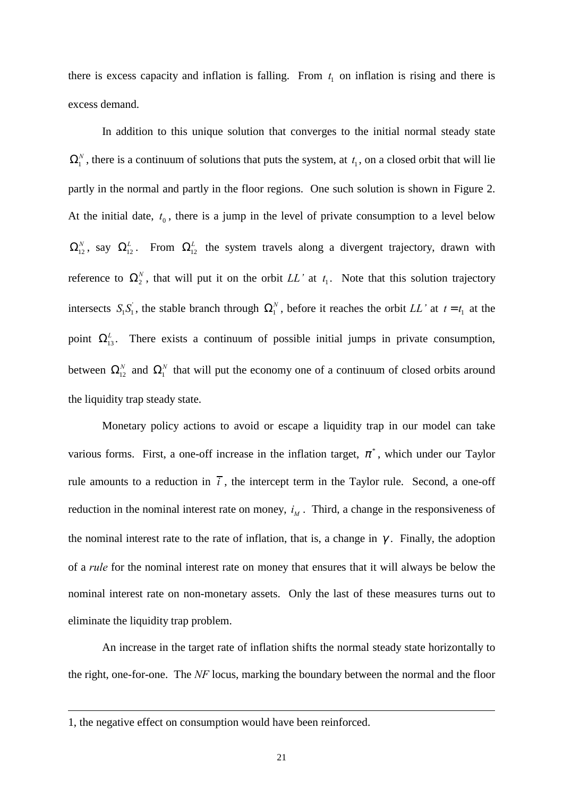there is excess capacity and inflation is falling. From  $t_1$  on inflation is rising and there is excess demand.

In addition to this unique solution that converges to the initial normal steady state  $\Omega_1^N$ , there is a continuum of solutions that puts the system, at  $t_1$ , on a closed orbit that will lie partly in the normal and partly in the floor regions. One such solution is shown in Figure 2. At the initial date,  $t_0$ , there is a jump in the level of private consumption to a level below  $\Omega_{12}^N$ , say  $\Omega_{12}^L$ . From  $\Omega_{12}^L$  the system travels along a divergent trajectory, drawn with reference to  $\Omega_2^N$ , that will put it on the orbit LL' at  $t_1$ . Note that this solution trajectory intersects  $S_1 S_1$ , the stable branch through  $\Omega_1^N$ , before it reaches the orbit *LL'* at  $t = t_1$  at the point  $\Omega_{13}^L$ . There exists a continuum of possible initial jumps in private consumption, between  $\Omega_{12}^N$  and  $\Omega_1^N$  that will put the economy one of a continuum of closed orbits around the liquidity trap steady state.

Monetary policy actions to avoid or escape a liquidity trap in our model can take various forms. First, a one-off increase in the inflation target,  $\pi^*$ , which under our Taylor rule amounts to a reduction in  $\bar{i}$ , the intercept term in the Taylor rule. Second, a one-off reduction in the nominal interest rate on money,  $i_M$ . Third, a change in the responsiveness of the nominal interest rate to the rate of inflation, that is, a change in  $\gamma$ . Finally, the adoption of a *rule* for the nominal interest rate on money that ensures that it will always be below the nominal interest rate on non-monetary assets. Only the last of these measures turns out to eliminate the liquidity trap problem.

An increase in the target rate of inflation shifts the normal steady state horizontally to the right, one-for-one. The *NF* locus, marking the boundary between the normal and the floor

<sup>1,</sup> the negative effect on consumption would have been reinforced.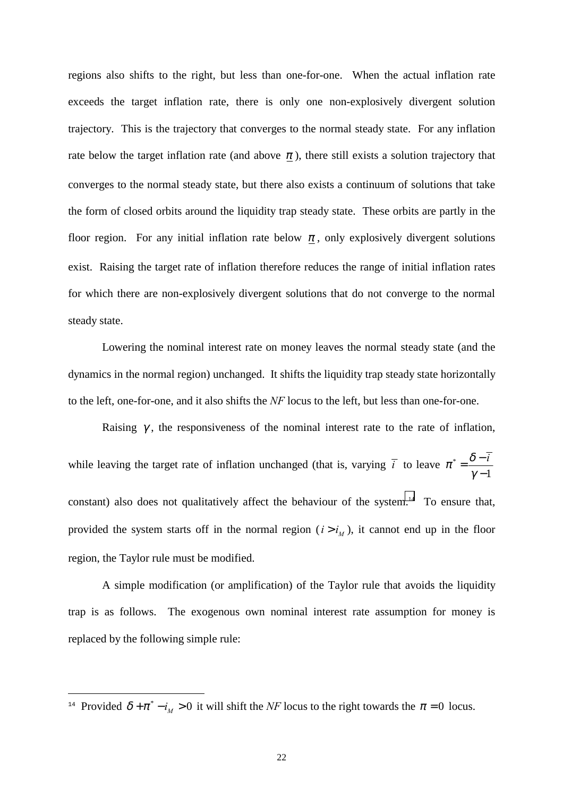regions also shifts to the right, but less than one-for-one. When the actual inflation rate exceeds the target inflation rate, there is only one non-explosively divergent solution trajectory. This is the trajectory that converges to the normal steady state. For any inflation rate below the target inflation rate (and above  $\pi$ ), there still exists a solution trajectory that converges to the normal steady state, but there also exists a continuum of solutions that take the form of closed orbits around the liquidity trap steady state. These orbits are partly in the floor region. For any initial inflation rate below  $\pi$ , only explosively divergent solutions exist. Raising the target rate of inflation therefore reduces the range of initial inflation rates for which there are non-explosively divergent solutions that do not converge to the normal steady state.

Lowering the nominal interest rate on money leaves the normal steady state (and the dynamics in the normal region) unchanged. It shifts the liquidity trap steady state horizontally to the left, one-for-one, and it also shifts the *NF* locus to the left, but less than one-for-one.

Raising  $\gamma$ , the responsiveness of the nominal interest rate to the rate of inflation, while leaving the target rate of inflation unchanged (that is, varying  $\bar{i}$  to leave  $\pi^*$ 1  $\pi^* = \frac{\delta - \bar{i}}{\bar{i}}$  $=\frac{\delta-}{\gamma-}$ constant) also does not qualitatively affect the behaviour of the system.<sup>14</sup> To ensure that, provided the system starts off in the normal region  $(i > i<sub>M</sub>)$ , it cannot end up in the floor region, the Taylor rule must be modified.

A simple modification (or amplification) of the Taylor rule that avoids the liquidity trap is as follows. The exogenous own nominal interest rate assumption for money is replaced by the following simple rule:

<sup>&</sup>lt;sup>14</sup> Provided  $\delta + \pi^* - i_M > 0$  it will shift the *NF* locus to the right towards the  $\pi = 0$  locus.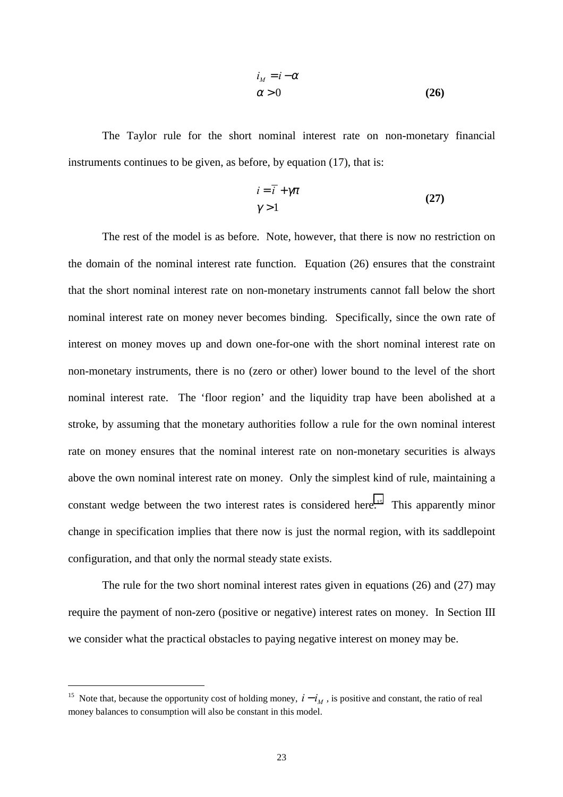$$
i_M = i - \alpha
$$
  
\n
$$
\alpha > 0
$$
\n(26)

The Taylor rule for the short nominal interest rate on non-monetary financial instruments continues to be given, as before, by equation (17), that is:

$$
i = \overline{i} + \gamma \pi
$$
  

$$
\gamma > 1
$$
 (27)

The rest of the model is as before. Note, however, that there is now no restriction on the domain of the nominal interest rate function. Equation (26) ensures that the constraint that the short nominal interest rate on non-monetary instruments cannot fall below the short nominal interest rate on money never becomes binding. Specifically, since the own rate of interest on money moves up and down one-for-one with the short nominal interest rate on non-monetary instruments, there is no (zero or other) lower bound to the level of the short nominal interest rate. The 'floor region' and the liquidity trap have been abolished at a stroke, by assuming that the monetary authorities follow a rule for the own nominal interest rate on money ensures that the nominal interest rate on non-monetary securities is always above the own nominal interest rate on money. Only the simplest kind of rule, maintaining a constant wedge between the two interest rates is considered here.<sup>15</sup> This apparently minor change in specification implies that there now is just the normal region, with its saddlepoint configuration, and that only the normal steady state exists.

The rule for the two short nominal interest rates given in equations (26) and (27) may require the payment of non-zero (positive or negative) interest rates on money. In Section III we consider what the practical obstacles to paying negative interest on money may be.

<sup>&</sup>lt;sup>15</sup> Note that, because the opportunity cost of holding money,  $i - i<sub>M</sub>$ , is positive and constant, the ratio of real money balances to consumption will also be constant in this model.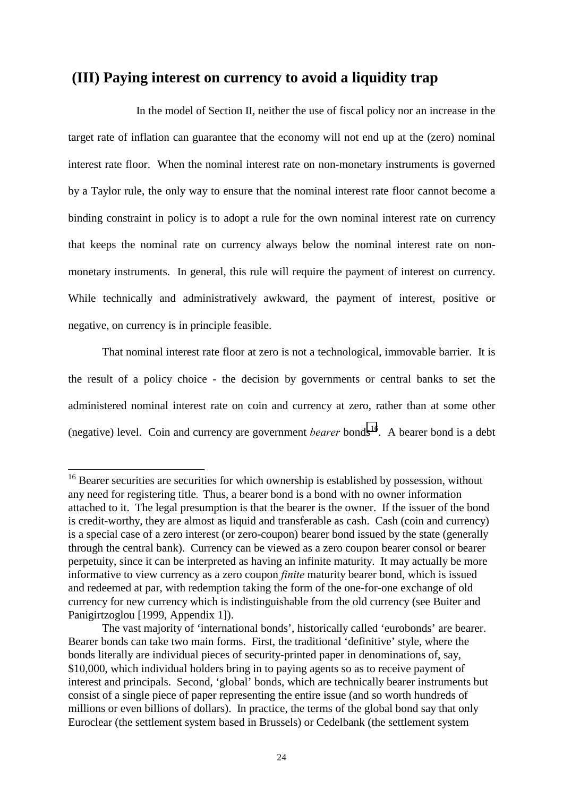## **(III) Paying interest on currency to avoid a liquidity trap**

In the model of Section II, neither the use of fiscal policy nor an increase in the target rate of inflation can guarantee that the economy will not end up at the (zero) nominal interest rate floor. When the nominal interest rate on non-monetary instruments is governed by a Taylor rule, the only way to ensure that the nominal interest rate floor cannot become a binding constraint in policy is to adopt a rule for the own nominal interest rate on currency that keeps the nominal rate on currency always below the nominal interest rate on nonmonetary instruments. In general, this rule will require the payment of interest on currency. While technically and administratively awkward, the payment of interest, positive or negative, on currency is in principle feasible.

That nominal interest rate floor at zero is not a technological, immovable barrier. It is the result of a policy choice - the decision by governments or central banks to set the administered nominal interest rate on coin and currency at zero, rather than at some other (negative) level. Coin and currency are government *bearer* bonds<sup>16</sup>. A bearer bond is a debt

 $16$  Bearer securities are securities for which ownership is established by possession, without any need for registering title. Thus, a bearer bond is a bond with no owner information attached to it. The legal presumption is that the bearer is the owner. If the issuer of the bond is credit-worthy, they are almost as liquid and transferable as cash. Cash (coin and currency) is a special case of a zero interest (or zero-coupon) bearer bond issued by the state (generally through the central bank). Currency can be viewed as a zero coupon bearer consol or bearer perpetuity, since it can be interpreted as having an infinite maturity. It may actually be more informative to view currency as a zero coupon *finite* maturity bearer bond, which is issued and redeemed at par, with redemption taking the form of the one-for-one exchange of old currency for new currency which is indistinguishable from the old currency (see Buiter and Panigirtzoglou [1999, Appendix 1]).

The vast majority of 'international bonds', historically called 'eurobonds' are bearer. Bearer bonds can take two main forms. First, the traditional 'definitive' style, where the bonds literally are individual pieces of security-printed paper in denominations of, say, \$10,000, which individual holders bring in to paying agents so as to receive payment of interest and principals. Second, 'global' bonds, which are technically bearer instruments but consist of a single piece of paper representing the entire issue (and so worth hundreds of millions or even billions of dollars). In practice, the terms of the global bond say that only Euroclear (the settlement system based in Brussels) or Cedelbank (the settlement system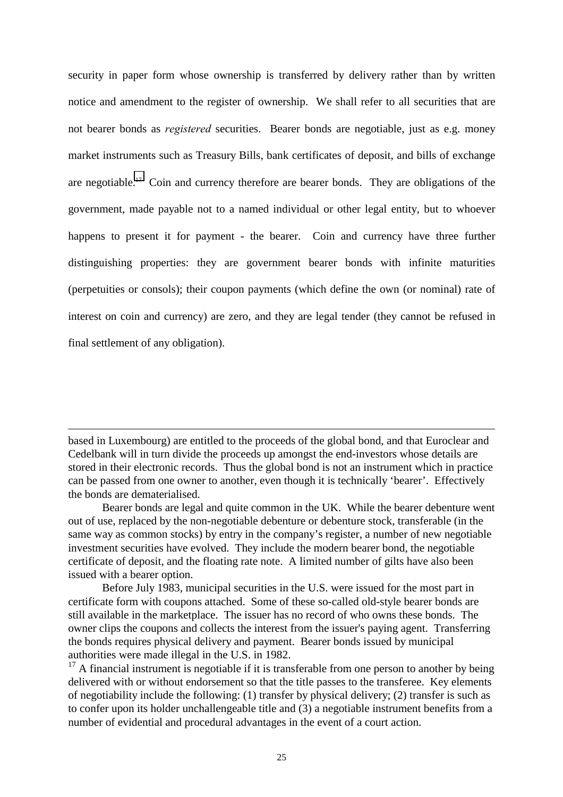security in paper form whose ownership is transferred by delivery rather than by written notice and amendment to the register of ownership. We shall refer to all securities that are not bearer bonds as *registered* securities. Bearer bonds are negotiable, just as e.g. money market instruments such as Treasury Bills, bank certificates of deposit, and bills of exchange are negotiable.17 Coin and currency therefore are bearer bonds. They are obligations of the government, made payable not to a named individual or other legal entity, but to whoever happens to present it for payment - the bearer. Coin and currency have three further distinguishing properties: they are government bearer bonds with infinite maturities (perpetuities or consols); their coupon payments (which define the own (or nominal) rate of interest on coin and currency) are zero, and they are legal tender (they cannot be refused in final settlement of any obligation).

l

based in Luxembourg) are entitled to the proceeds of the global bond, and that Euroclear and Cedelbank will in turn divide the proceeds up amongst the end-investors whose details are stored in their electronic records. Thus the global bond is not an instrument which in practice can be passed from one owner to another, even though it is technically 'bearer'. Effectively the bonds are dematerialised.

Bearer bonds are legal and quite common in the UK. While the bearer debenture went out of use, replaced by the non-negotiable debenture or debenture stock, transferable (in the same way as common stocks) by entry in the company's register, a number of new negotiable investment securities have evolved. They include the modern bearer bond, the negotiable certificate of deposit, and the floating rate note. A limited number of gilts have also been issued with a bearer option.

Before July 1983, municipal securities in the U.S. were issued for the most part in certificate form with coupons attached. Some of these so-called old-style bearer bonds are still available in the marketplace. The issuer has no record of who owns these bonds. The owner clips the coupons and collects the interest from the issuer's paying agent. Transferring the bonds requires physical delivery and payment. Bearer bonds issued by municipal authorities were made illegal in the U.S. in 1982.

 $17$  A financial instrument is negotiable if it is transferable from one person to another by being delivered with or without endorsement so that the title passes to the transferee. Key elements of negotiability include the following: (1) transfer by physical delivery; (2) transfer is such as to confer upon its holder unchallengeable title and (3) a negotiable instrument benefits from a number of evidential and procedural advantages in the event of a court action.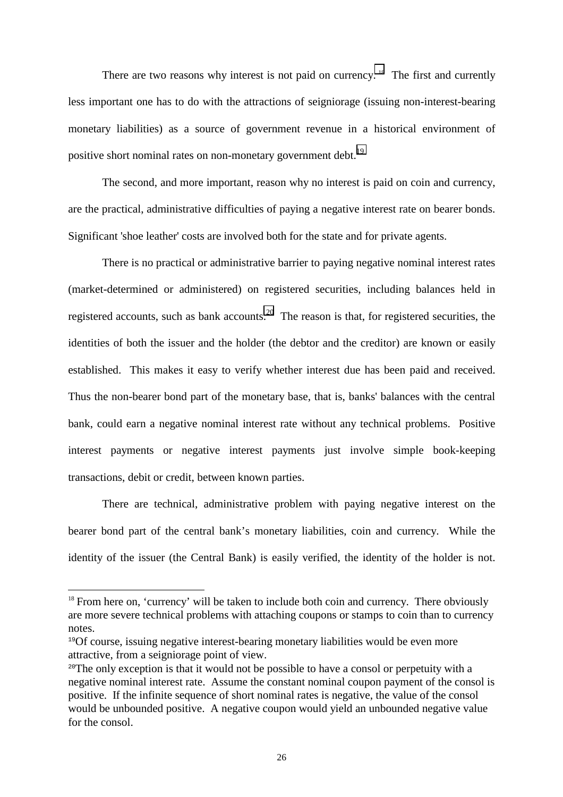There are two reasons why interest is not paid on currency.<sup>18</sup> The first and currently less important one has to do with the attractions of seigniorage (issuing non-interest-bearing monetary liabilities) as a source of government revenue in a historical environment of positive short nominal rates on non-monetary government debt.<sup>19</sup>

The second, and more important, reason why no interest is paid on coin and currency, are the practical, administrative difficulties of paying a negative interest rate on bearer bonds. Significant 'shoe leather' costs are involved both for the state and for private agents.

There is no practical or administrative barrier to paying negative nominal interest rates (market-determined or administered) on registered securities, including balances held in registered accounts, such as bank accounts.<sup>20</sup> The reason is that, for registered securities, the identities of both the issuer and the holder (the debtor and the creditor) are known or easily established. This makes it easy to verify whether interest due has been paid and received. Thus the non-bearer bond part of the monetary base, that is, banks' balances with the central bank, could earn a negative nominal interest rate without any technical problems. Positive interest payments or negative interest payments just involve simple book-keeping transactions, debit or credit, between known parties.

There are technical, administrative problem with paying negative interest on the bearer bond part of the central bank's monetary liabilities, coin and currency. While the identity of the issuer (the Central Bank) is easily verified, the identity of the holder is not.

<sup>&</sup>lt;sup>18</sup> From here on, 'currency' will be taken to include both coin and currency. There obviously are more severe technical problems with attaching coupons or stamps to coin than to currency notes.

<sup>&</sup>lt;sup>19</sup>Of course, issuing negative interest-bearing monetary liabilities would be even more attractive, from a seigniorage point of view.

<sup>&</sup>lt;sup>20</sup>The only exception is that it would not be possible to have a consol or perpetuity with a negative nominal interest rate. Assume the constant nominal coupon payment of the consol is positive. If the infinite sequence of short nominal rates is negative, the value of the consol would be unbounded positive. A negative coupon would yield an unbounded negative value for the consol.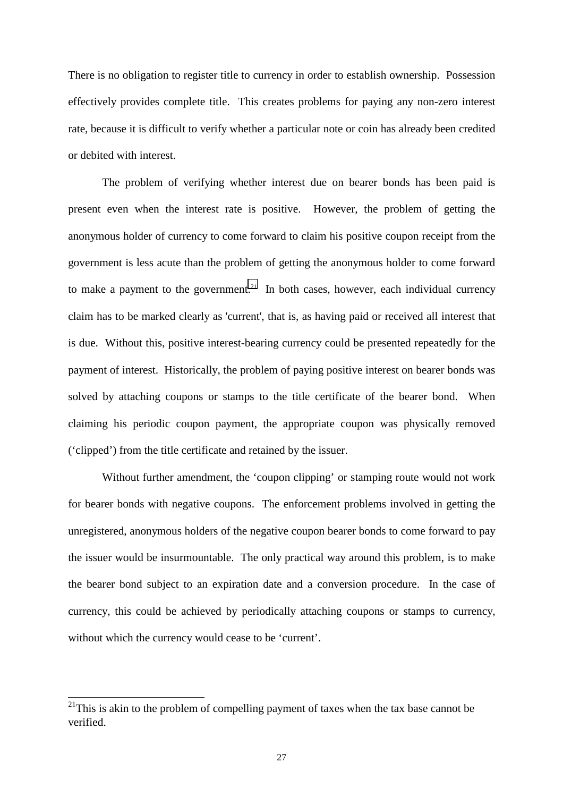There is no obligation to register title to currency in order to establish ownership. Possession effectively provides complete title. This creates problems for paying any non-zero interest rate, because it is difficult to verify whether a particular note or coin has already been credited or debited with interest.

The problem of verifying whether interest due on bearer bonds has been paid is present even when the interest rate is positive. However, the problem of getting the anonymous holder of currency to come forward to claim his positive coupon receipt from the government is less acute than the problem of getting the anonymous holder to come forward to make a payment to the government.<sup>21</sup> In both cases, however, each individual currency claim has to be marked clearly as 'current', that is, as having paid or received all interest that is due. Without this, positive interest-bearing currency could be presented repeatedly for the payment of interest. Historically, the problem of paying positive interest on bearer bonds was solved by attaching coupons or stamps to the title certificate of the bearer bond. When claiming his periodic coupon payment, the appropriate coupon was physically removed ('clipped') from the title certificate and retained by the issuer.

Without further amendment, the 'coupon clipping' or stamping route would not work for bearer bonds with negative coupons. The enforcement problems involved in getting the unregistered, anonymous holders of the negative coupon bearer bonds to come forward to pay the issuer would be insurmountable. The only practical way around this problem, is to make the bearer bond subject to an expiration date and a conversion procedure. In the case of currency, this could be achieved by periodically attaching coupons or stamps to currency, without which the currency would cease to be 'current'.

 $\overline{\phantom{a}}$ 

 $2<sup>1</sup>$ This is akin to the problem of compelling payment of taxes when the tax base cannot be verified.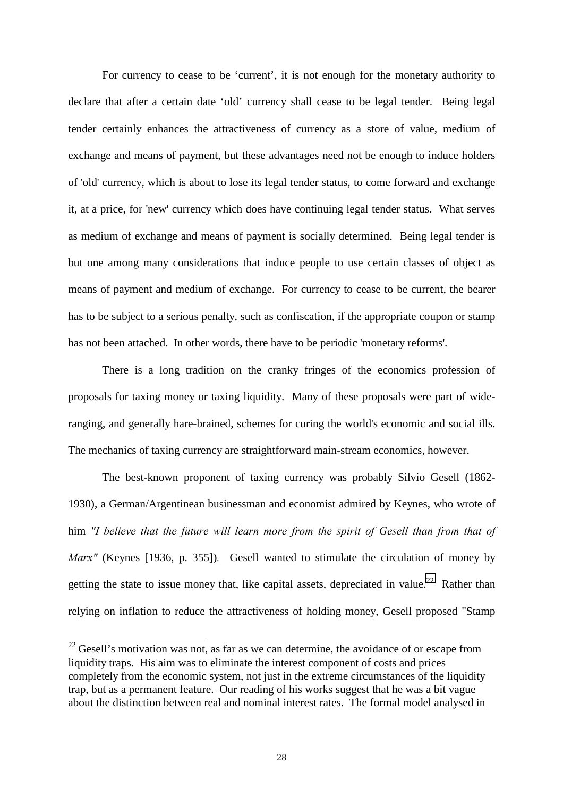For currency to cease to be 'current', it is not enough for the monetary authority to declare that after a certain date 'old' currency shall cease to be legal tender. Being legal tender certainly enhances the attractiveness of currency as a store of value, medium of exchange and means of payment, but these advantages need not be enough to induce holders of 'old' currency, which is about to lose its legal tender status, to come forward and exchange it, at a price, for 'new' currency which does have continuing legal tender status. What serves as medium of exchange and means of payment is socially determined. Being legal tender is but one among many considerations that induce people to use certain classes of object as means of payment and medium of exchange. For currency to cease to be current, the bearer has to be subject to a serious penalty, such as confiscation, if the appropriate coupon or stamp has not been attached. In other words, there have to be periodic 'monetary reforms'.

There is a long tradition on the cranky fringes of the economics profession of proposals for taxing money or taxing liquidity. Many of these proposals were part of wideranging, and generally hare-brained, schemes for curing the world's economic and social ills. The mechanics of taxing currency are straightforward main-stream economics, however.

The best-known proponent of taxing currency was probably Silvio Gesell (1862- 1930), a German/Argentinean businessman and economist admired by Keynes, who wrote of him *"I believe that the future will learn more from the spirit of Gesell than from that of Marx"* (Keynes [1936, p. 355])*.* Gesell wanted to stimulate the circulation of money by getting the state to issue money that, like capital assets, depreciated in value.<sup>22</sup> Rather than relying on inflation to reduce the attractiveness of holding money, Gesell proposed "Stamp

 $22$  Gesell's motivation was not, as far as we can determine, the avoidance of or escape from liquidity traps. His aim was to eliminate the interest component of costs and prices completely from the economic system, not just in the extreme circumstances of the liquidity trap, but as a permanent feature. Our reading of his works suggest that he was a bit vague about the distinction between real and nominal interest rates. The formal model analysed in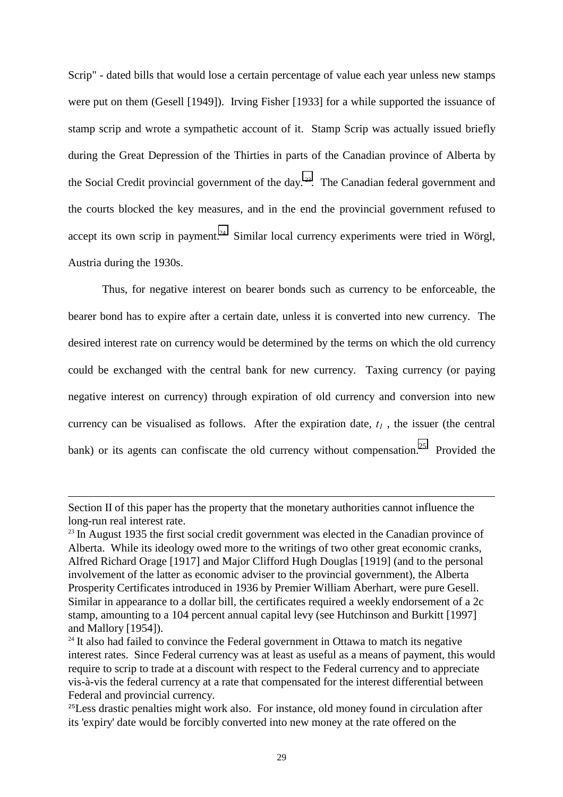Scrip" - dated bills that would lose a certain percentage of value each year unless new stamps were put on them (Gesell [1949]). Irving Fisher [1933] for a while supported the issuance of stamp scrip and wrote a sympathetic account of it. Stamp Scrip was actually issued briefly during the Great Depression of the Thirties in parts of the Canadian province of Alberta by the Social Credit provincial government of the day.<sup>23</sup>. The Canadian federal government and the courts blocked the key measures, and in the end the provincial government refused to accept its own scrip in payment.<sup>24</sup> Similar local currency experiments were tried in Wörgl, Austria during the 1930s.

Thus, for negative interest on bearer bonds such as currency to be enforceable, the bearer bond has to expire after a certain date, unless it is converted into new currency. The desired interest rate on currency would be determined by the terms on which the old currency could be exchanged with the central bank for new currency. Taxing currency (or paying negative interest on currency) through expiration of old currency and conversion into new currency can be visualised as follows. After the expiration date,  $t_1$ , the issuer (the central bank) or its agents can confiscate the old currency without compensation.<sup>25</sup> Provided the

Section II of this paper has the property that the monetary authorities cannot influence the long-run real interest rate.

 $23$  In August 1935 the first social credit government was elected in the Canadian province of Alberta. While its ideology owed more to the writings of two other great economic cranks, Alfred Richard Orage [1917] and Major Clifford Hugh Douglas [1919] (and to the personal involvement of the latter as economic adviser to the provincial government), the Alberta Prosperity Certificates introduced in 1936 by Premier William Aberhart, were pure Gesell. Similar in appearance to a dollar bill, the certificates required a weekly endorsement of a 2c stamp, amounting to a 104 percent annual capital levy (see Hutchinson and Burkitt [1997] and Mallory [1954]).

 $24$  It also had failed to convince the Federal government in Ottawa to match its negative interest rates. Since Federal currency was at least as useful as a means of payment, this would require to scrip to trade at a discount with respect to the Federal currency and to appreciate vis-à-vis the federal currency at a rate that compensated for the interest differential between Federal and provincial currency.

<sup>&</sup>lt;sup>25</sup>Less drastic penalties might work also. For instance, old money found in circulation after its 'expiry' date would be forcibly converted into new money at the rate offered on the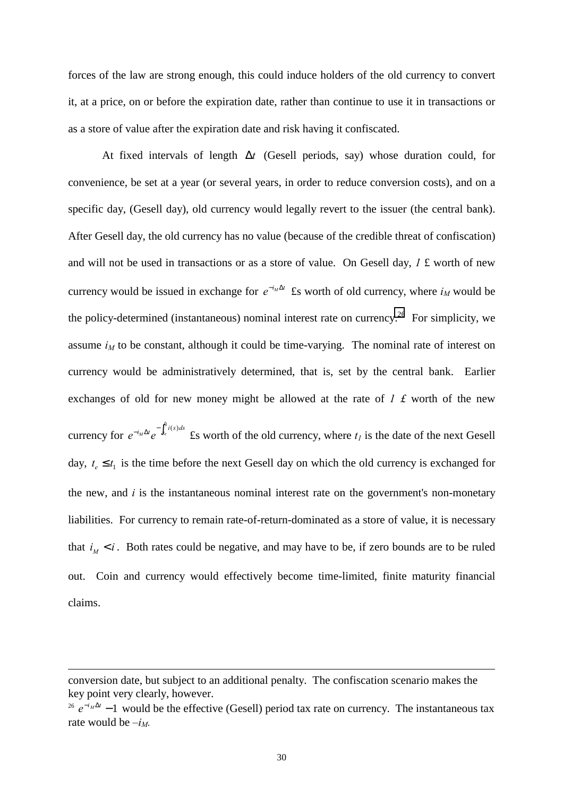forces of the law are strong enough, this could induce holders of the old currency to convert it, at a price, on or before the expiration date, rather than continue to use it in transactions or as a store of value after the expiration date and risk having it confiscated.

At fixed intervals of length ∆*t* (Gesell periods, say) whose duration could, for convenience, be set at a year (or several years, in order to reduce conversion costs), and on a specific day, (Gesell day), old currency would legally revert to the issuer (the central bank). After Gesell day, the old currency has no value (because of the credible threat of confiscation) and will not be used in transactions or as a store of value. On Gesell day, *1* £ worth of new currency would be issued in exchange for  $e^{-i_M \Delta t}$  £s worth of old currency, where  $i_M$  would be the policy-determined (instantaneous) nominal interest rate on currency.<sup>26</sup> For simplicity, we assume  $i_M$  to be constant, although it could be time-varying. The nominal rate of interest on currency would be administratively determined, that is, set by the central bank. Earlier exchanges of old for new money might be allowed at the rate of *1 £* worth of the new

currency for  $e^{-i_M\Delta t}e^{-\int_{t_e}^{\tau_i} i(s)ds}$  £s worth of the old currency, where  $t_i$  is the date of the next Gesell day,  $t_e \leq t_1$  is the time before the next Gesell day on which the old currency is exchanged for the new, and *i* is the instantaneous nominal interest rate on the government's non-monetary liabilities. For currency to remain rate-of-return-dominated as a store of value, it is necessary that  $i_M < i$ . Both rates could be negative, and may have to be, if zero bounds are to be ruled out. Coin and currency would effectively become time-limited, finite maturity financial claims.

 $\overline{\phantom{a}}$ 

conversion date, but subject to an additional penalty. The confiscation scenario makes the key point very clearly, however.

<sup>&</sup>lt;sup>26</sup>  $e^{-i_M\Delta t}$  −1 would be the effective (Gesell) period tax rate on currency. The instantaneous tax rate would be  $-i<sub>M</sub>$ .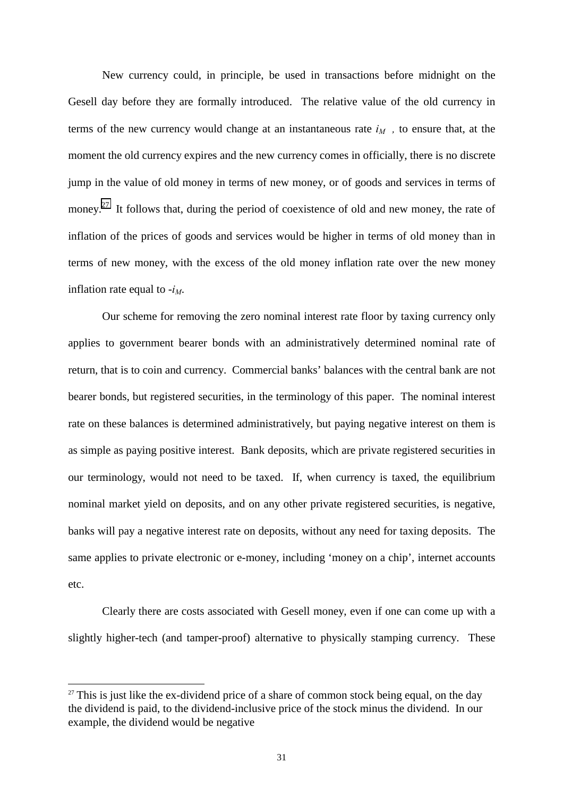New currency could, in principle, be used in transactions before midnight on the Gesell day before they are formally introduced. The relative value of the old currency in terms of the new currency would change at an instantaneous rate  $i_M$ , to ensure that, at the moment the old currency expires and the new currency comes in officially, there is no discrete jump in the value of old money in terms of new money, or of goods and services in terms of money.<sup>27</sup> It follows that, during the period of coexistence of old and new money, the rate of inflation of the prices of goods and services would be higher in terms of old money than in terms of new money, with the excess of the old money inflation rate over the new money inflation rate equal to  $-i<sub>M</sub>$ .

Our scheme for removing the zero nominal interest rate floor by taxing currency only applies to government bearer bonds with an administratively determined nominal rate of return, that is to coin and currency. Commercial banks' balances with the central bank are not bearer bonds, but registered securities, in the terminology of this paper. The nominal interest rate on these balances is determined administratively, but paying negative interest on them is as simple as paying positive interest. Bank deposits, which are private registered securities in our terminology, would not need to be taxed. If, when currency is taxed, the equilibrium nominal market yield on deposits, and on any other private registered securities, is negative, banks will pay a negative interest rate on deposits, without any need for taxing deposits. The same applies to private electronic or e-money, including 'money on a chip', internet accounts etc.

Clearly there are costs associated with Gesell money, even if one can come up with a slightly higher-tech (and tamper-proof) alternative to physically stamping currency. These

 $\overline{\phantom{a}}$ 

 $27$  This is just like the ex-dividend price of a share of common stock being equal, on the day the dividend is paid, to the dividend-inclusive price of the stock minus the dividend. In our example, the dividend would be negative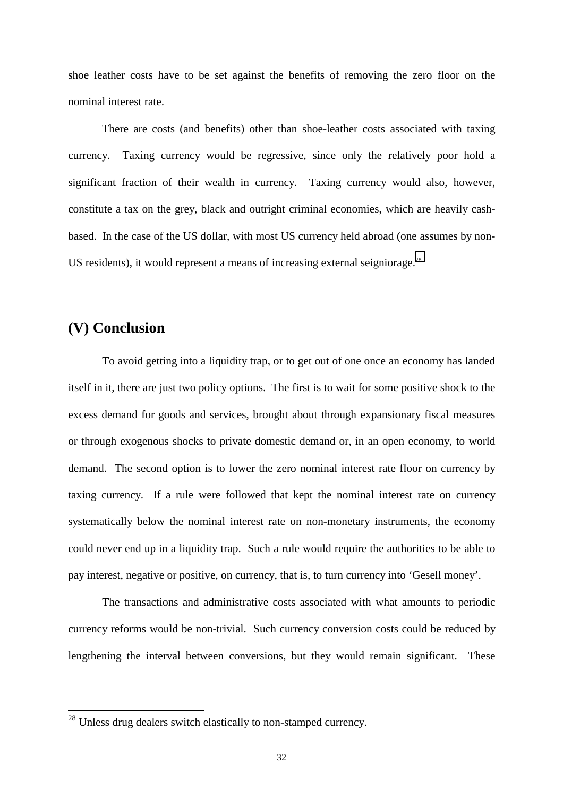shoe leather costs have to be set against the benefits of removing the zero floor on the nominal interest rate.

There are costs (and benefits) other than shoe-leather costs associated with taxing currency. Taxing currency would be regressive, since only the relatively poor hold a significant fraction of their wealth in currency. Taxing currency would also, however, constitute a tax on the grey, black and outright criminal economies, which are heavily cashbased. In the case of the US dollar, with most US currency held abroad (one assumes by non-US residents), it would represent a means of increasing external seigniorage.<sup>28</sup>

## **(V) Conclusion**

 $\overline{\phantom{a}}$ 

To avoid getting into a liquidity trap, or to get out of one once an economy has landed itself in it, there are just two policy options. The first is to wait for some positive shock to the excess demand for goods and services, brought about through expansionary fiscal measures or through exogenous shocks to private domestic demand or, in an open economy, to world demand. The second option is to lower the zero nominal interest rate floor on currency by taxing currency. If a rule were followed that kept the nominal interest rate on currency systematically below the nominal interest rate on non-monetary instruments, the economy could never end up in a liquidity trap. Such a rule would require the authorities to be able to pay interest, negative or positive, on currency, that is, to turn currency into 'Gesell money'.

The transactions and administrative costs associated with what amounts to periodic currency reforms would be non-trivial. Such currency conversion costs could be reduced by lengthening the interval between conversions, but they would remain significant. These

 $28$  Unless drug dealers switch elastically to non-stamped currency.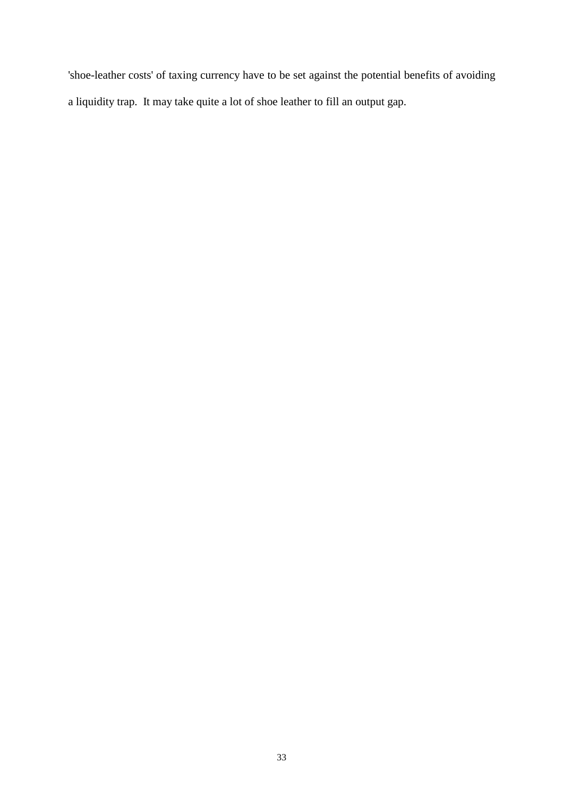'shoe-leather costs' of taxing currency have to be set against the potential benefits of avoiding a liquidity trap. It may take quite a lot of shoe leather to fill an output gap.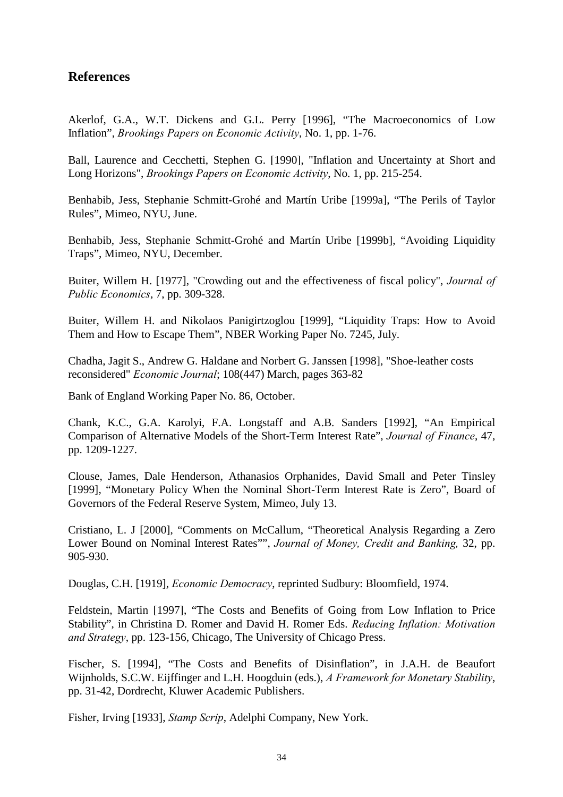## **References**

Akerlof, G.A., W.T. Dickens and G.L. Perry [1996], "The Macroeconomics of Low Inflation", *Brookings Papers on Economic Activity*, No. 1, pp. 1-76.

Ball, Laurence and Cecchetti, Stephen G. [1990], "Inflation and Uncertainty at Short and Long Horizons", *Brookings Papers on Economic Activity*, No. 1, pp. 215-254.

Benhabib, Jess, Stephanie Schmitt-Grohé and Martín Uribe [1999a], "The Perils of Taylor Rules", Mimeo, NYU, June.

Benhabib, Jess, Stephanie Schmitt-Grohé and Martín Uribe [1999b], "Avoiding Liquidity Traps", Mimeo, NYU, December.

Buiter, Willem H. [1977], "Crowding out and the effectiveness of fiscal policy", *Journal of Public Economics*, 7, pp. 309-328.

Buiter, Willem H. and Nikolaos Panigirtzoglou [1999], "Liquidity Traps: How to Avoid Them and How to Escape Them", NBER Working Paper No. 7245, July.

Chadha, Jagit S., Andrew G. Haldane and Norbert G. Janssen [1998], "Shoe-leather costs reconsidered" *Economic Journal*; 108(447) March, pages 363-82

Bank of England Working Paper No. 86, October.

Chank, K.C., G.A. Karolyi, F.A. Longstaff and A.B. Sanders [1992], "An Empirical Comparison of Alternative Models of the Short-Term Interest Rate", *Journal of Finance*, 47, pp. 1209-1227.

Clouse, James, Dale Henderson, Athanasios Orphanides, David Small and Peter Tinsley [1999], "Monetary Policy When the Nominal Short-Term Interest Rate is Zero", Board of Governors of the Federal Reserve System, Mimeo, July 13.

Cristiano, L. J [2000], "Comments on McCallum, "Theoretical Analysis Regarding a Zero Lower Bound on Nominal Interest Rates"", *Journal of Money, Credit and Banking,* 32, pp. 905-930.

Douglas, C.H. [1919], *Economic Democracy*, reprinted Sudbury: Bloomfield, 1974.

Feldstein, Martin [1997], "The Costs and Benefits of Going from Low Inflation to Price Stability", in Christina D. Romer and David H. Romer Eds. *Reducing Inflation: Motivation and Strategy*, pp. 123-156, Chicago, The University of Chicago Press.

Fischer, S. [1994], "The Costs and Benefits of Disinflation", in J.A.H. de Beaufort Wijnholds, S.C.W. Eijffinger and L.H. Hoogduin (eds.), *A Framework for Monetary Stability*, pp. 31-42, Dordrecht, Kluwer Academic Publishers.

Fisher, Irving [1933], *Stamp Scrip*, Adelphi Company, New York.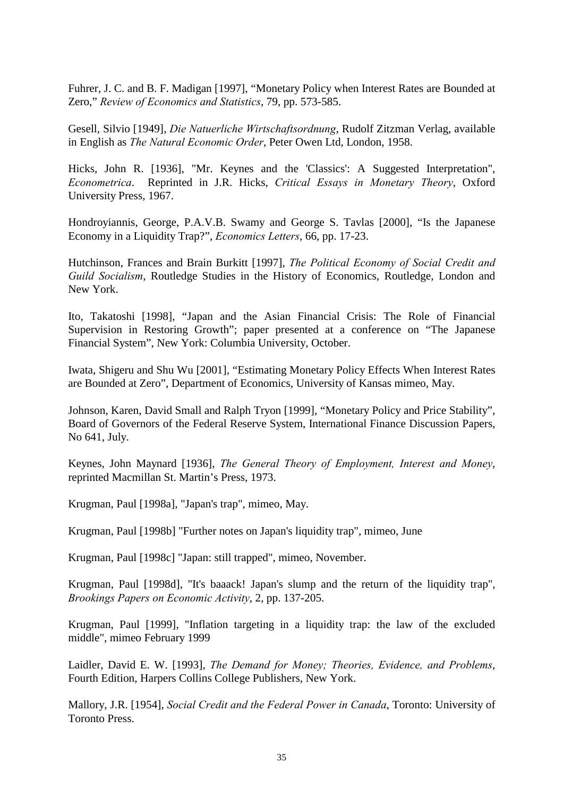Fuhrer, J. C. and B. F. Madigan [1997], "Monetary Policy when Interest Rates are Bounded at Zero," *Review of Economics and Statistics*, 79, pp. 573-585.

Gesell, Silvio [1949], *Die Natuerliche Wirtschaftsordnung*, Rudolf Zitzman Verlag, available in English as *The Natural Economic Order*, Peter Owen Ltd, London, 1958.

Hicks, John R. [1936], "Mr. Keynes and the 'Classics': A Suggested Interpretation", *Econometrica*. Reprinted in J.R. Hicks, *Critical Essays in Monetary Theory*, Oxford University Press, 1967.

Hondroyiannis, George, P.A.V.B. Swamy and George S. Tavlas [2000], "Is the Japanese Economy in a Liquidity Trap?", *Economics Letters*, 66, pp. 17-23.

Hutchinson, Frances and Brain Burkitt [1997], *The Political Economy of Social Credit and Guild Socialism*, Routledge Studies in the History of Economics, Routledge, London and New York.

Ito, Takatoshi [1998], "Japan and the Asian Financial Crisis: The Role of Financial Supervision in Restoring Growth"; paper presented at a conference on "The Japanese Financial System", New York: Columbia University, October.

Iwata, Shigeru and Shu Wu [2001], "Estimating Monetary Policy Effects When Interest Rates are Bounded at Zero", Department of Economics, University of Kansas mimeo, May.

Johnson, Karen, David Small and Ralph Tryon [1999], "Monetary Policy and Price Stability", Board of Governors of the Federal Reserve System, International Finance Discussion Papers, No 641, July.

Keynes, John Maynard [1936], *The General Theory of Employment, Interest and Money*, reprinted Macmillan St. Martin's Press, 1973.

Krugman, Paul [1998a], "Japan's trap", mimeo, May.

Krugman, Paul [1998b] "Further notes on Japan's liquidity trap", mimeo, June

Krugman, Paul [1998c] "Japan: still trapped", mimeo, November.

Krugman, Paul [1998d], "It's baaack! Japan's slump and the return of the liquidity trap", *Brookings Papers on Economic Activity*, 2, pp. 137-205.

Krugman, Paul [1999], "Inflation targeting in a liquidity trap: the law of the excluded middle", mimeo February 1999

Laidler, David E. W. [1993], *The Demand for Money; Theories, Evidence, and Problems*, Fourth Edition, Harpers Collins College Publishers, New York.

Mallory, J.R. [1954], *Social Credit and the Federal Power in Canada*, Toronto: University of Toronto Press.